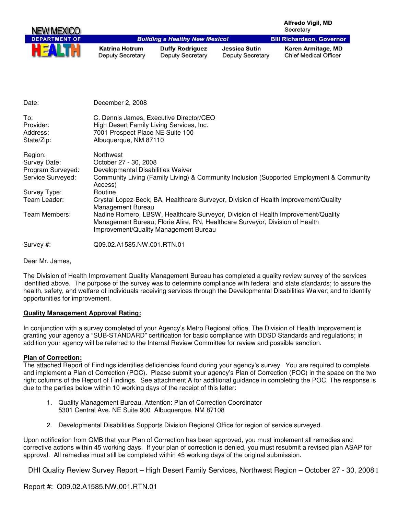| NEW MEXICO           |                                           |                                                   |                                                 | <b>Alfredo Vigil, MD</b><br>Secretary              |
|----------------------|-------------------------------------------|---------------------------------------------------|-------------------------------------------------|----------------------------------------------------|
| <b>DEPARTMENT OF</b> |                                           | <b>Building a Healthy New Mexico!</b>             |                                                 | <b>Bill Richardson, Governor</b>                   |
|                      | Katrina Hotrum<br><b>Deputy Secretary</b> | <b>Duffy Rodriguez</b><br><b>Deputy Secretary</b> | <b>Jessica Sutin</b><br><b>Deputy Secretary</b> | Karen Armitage, MD<br><b>Chief Medical Officer</b> |

| Date:                        | December 2, 2008                                                                                                                                                                                          |
|------------------------------|-----------------------------------------------------------------------------------------------------------------------------------------------------------------------------------------------------------|
| To:<br>Provider:<br>Address: | C. Dennis James, Executive Director/CEO<br>High Desert Family Living Services, Inc.<br>7001 Prospect Place NE Suite 100                                                                                   |
| State/Zip:                   | Albuquerque, NM 87110                                                                                                                                                                                     |
| Region:                      | Northwest                                                                                                                                                                                                 |
| Survey Date:                 | October 27 - 30, 2008                                                                                                                                                                                     |
| Program Surveyed:            | Developmental Disabilities Waiver                                                                                                                                                                         |
| Service Surveyed:            | Community Living (Family Living) & Community Inclusion (Supported Employment & Community<br>Access)                                                                                                       |
| Survey Type:                 | Routine                                                                                                                                                                                                   |
| Team Leader:                 | Crystal Lopez-Beck, BA, Healthcare Surveyor, Division of Health Improvement/Quality<br>Management Bureau                                                                                                  |
| Team Members:                | Nadine Romero, LBSW, Healthcare Surveyor, Division of Health Improvement/Quality<br>Management Bureau; Florie Alire, RN, Healthcare Surveyor, Division of Health<br>Improvement/Quality Management Bureau |
| Survey #:                    | Q09.02.A1585.NW.001.RTN.01                                                                                                                                                                                |

Dear Mr. James,

The Division of Health Improvement Quality Management Bureau has completed a quality review survey of the services identified above. The purpose of the survey was to determine compliance with federal and state standards; to assure the health, safety, and welfare of individuals receiving services through the Developmental Disabilities Waiver; and to identify opportunities for improvement.

## **Quality Management Approval Rating:**

In conjunction with a survey completed of your Agency's Metro Regional office, The Division of Health Improvement is granting your agency a "SUB-STANDARD" certification for basic compliance with DDSD Standards and regulations; in addition your agency will be referred to the Internal Review Committee for review and possible sanction.

#### **Plan of Correction:**

The attached Report of Findings identifies deficiencies found during your agency's survey. You are required to complete and implement a Plan of Correction (POC). Please submit your agency's Plan of Correction (POC) in the space on the two right columns of the Report of Findings. See attachment A for additional guidance in completing the POC. The response is due to the parties below within 10 working days of the receipt of this letter:

- 1. Quality Management Bureau, Attention: Plan of Correction Coordinator 5301 Central Ave. NE Suite 900 Albuquerque, NM 87108
- 2. Developmental Disabilities Supports Division Regional Office for region of service surveyed.

Upon notification from QMB that your Plan of Correction has been approved, you must implement all remedies and corrective actions within 45 working days. If your plan of correction is denied, you must resubmit a revised plan ASAP for approval. All remedies must still be completed within 45 working days of the original submission.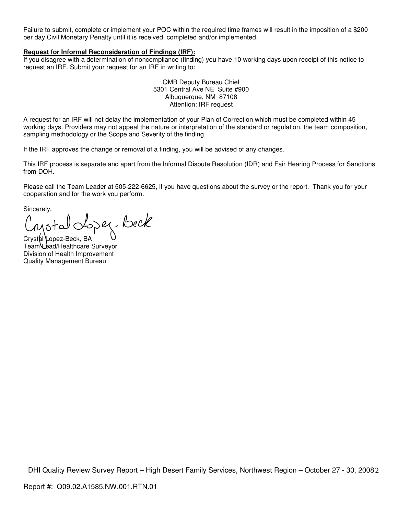Failure to submit, complete or implement your POC within the required time frames will result in the imposition of a \$200 per day Civil Monetary Penalty until it is received, completed and/or implemented.

#### **Request for Informal Reconsideration of Findings (IRF):**

If you disagree with a determination of noncompliance (finding) you have 10 working days upon receipt of this notice to request an IRF. Submit your request for an IRF in writing to:

> QMB Deputy Bureau Chief 5301 Central Ave NE Suite #900 Albuquerque, NM 87108 Attention: IRF request

A request for an IRF will not delay the implementation of your Plan of Correction which must be completed within 45 working days. Providers may not appeal the nature or interpretation of the standard or regulation, the team composition, sampling methodology or the Scope and Severity of the finding.

If the IRF approves the change or removal of a finding, you will be advised of any changes.

This IRF process is separate and apart from the Informal Dispute Resolution (IDR) and Fair Hearing Process for Sanctions from DOH.

Please call the Team Leader at 505-222-6625, if you have questions about the survey or the report. Thank you for your cooperation and for the work you perform.

Sincerely,

Crystal Lopez-Beck<br>Crystal Lopez-Beck, BA

Team Lead/Healthcare Surveyor Division of Health Improvement Quality Management Bureau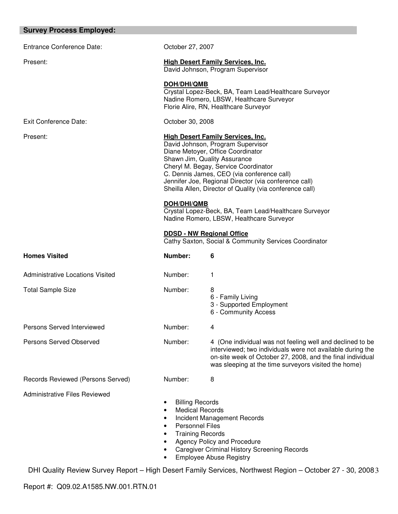#### **Survey Process Employed:**

Entrance Conference Date: Conference October 27, 2007 Present: **High Desert Family Services, Inc.** David Johnson, Program Supervisor **DOH/DHI/QMB** Crystal Lopez-Beck, BA, Team Lead/Healthcare Surveyor Nadine Romero, LBSW, Healthcare Surveyor Florie Alire, RN, Healthcare Surveyor Exit Conference Date: Conference Date: Conference Date: Present: **High Desert Family Services, Inc.** David Johnson, Program Supervisor Diane Metoyer, Office Coordinator Shawn Jim, Quality Assurance Cheryl M. Begay, Service Coordinator C. Dennis James, CEO (via conference call) Jennifer Joe, Regional Director (via conference call) Sheilla Allen, Director of Quality (via conference call) **DOH/DHI/QMB** Crystal Lopez-Beck, BA, Team Lead/Healthcare Surveyor Nadine Romero, LBSW, Healthcare Surveyor **DDSD - NW Regional Office** Cathy Saxton, Social & Community Services Coordinator **Homes Visited Community Community Community Community Community Government** Administrative Locations Visited Number: 1 Total Sample Size **Number:** 8 6 - Family Living 3 - Supported Employment 6 - Community Access Persons Served Interviewed Number: 4 Persons Served Observed Number: 4 (One individual was not feeling well and declined to be interviewed; two individuals were not available during the on-site week of October 27, 2008, and the final individual was sleeping at the time surveyors visited the home) Records Reviewed (Persons Served) Number: 8 Administrative Files Reviewed • Billing Records • Medical Records • Incident Management Records • Personnel Files • Training Records

- Agency Policy and Procedure
- Caregiver Criminal History Screening Records
- Employee Abuse Registry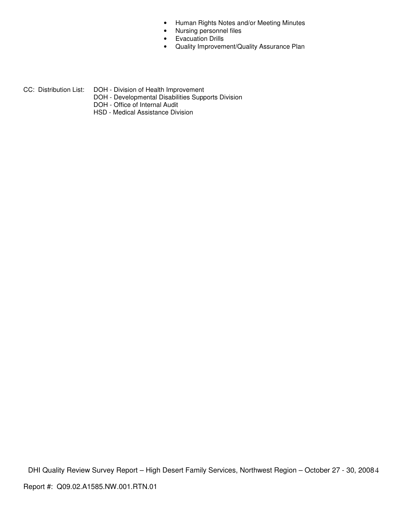- Human Rights Notes and/or Meeting Minutes
- Nursing personnel files
- Evacuation Drills
- Quality Improvement/Quality Assurance Plan

CC: Distribution List: DOH - Division of Health Improvement

- DOH Developmental Disabilities Supports Division
- DOH Office of Internal Audit
	- HSD Medical Assistance Division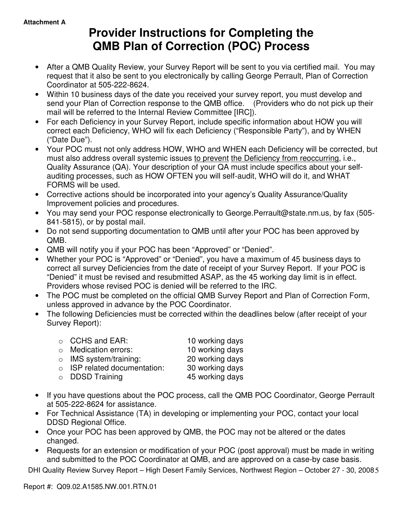# **Provider Instructions for Completing the QMB Plan of Correction (POC) Process**

- After a QMB Quality Review, your Survey Report will be sent to you via certified mail. You may request that it also be sent to you electronically by calling George Perrault, Plan of Correction Coordinator at 505-222-8624.
- Within 10 business days of the date you received your survey report, you must develop and send your Plan of Correction response to the QMB office. (Providers who do not pick up their mail will be referred to the Internal Review Committee [IRC]).
- For each Deficiency in your Survey Report, include specific information about HOW you will correct each Deficiency, WHO will fix each Deficiency ("Responsible Party"), and by WHEN ("Date Due").
- Your POC must not only address HOW, WHO and WHEN each Deficiency will be corrected, but must also address overall systemic issues to prevent the Deficiency from reoccurring, i.e., Quality Assurance (QA). Your description of your QA must include specifics about your selfauditing processes, such as HOW OFTEN you will self-audit, WHO will do it, and WHAT FORMS will be used.
- Corrective actions should be incorporated into your agency's Quality Assurance/Quality Improvement policies and procedures.
- You may send your POC response electronically to George.Perrault@state.nm.us, by fax (505- 841-5815), or by postal mail.
- Do not send supporting documentation to QMB until after your POC has been approved by QMB.
- QMB will notify you if your POC has been "Approved" or "Denied".
- Whether your POC is "Approved" or "Denied", you have a maximum of 45 business days to correct all survey Deficiencies from the date of receipt of your Survey Report. If your POC is "Denied" it must be revised and resubmitted ASAP, as the 45 working day limit is in effect. Providers whose revised POC is denied will be referred to the IRC.
- The POC must be completed on the official QMB Survey Report and Plan of Correction Form, unless approved in advance by the POC Coordinator.
- The following Deficiencies must be corrected within the deadlines below (after receipt of your Survey Report):

| $\circ$ CCHS and EAR:              | 10 working days |
|------------------------------------|-----------------|
| $\circ$ Medication errors:         | 10 working days |
| $\circ$ IMS system/training:       | 20 working days |
| $\circ$ ISP related documentation: | 30 working days |
| o DDSD Training                    | 45 working days |

- If you have questions about the POC process, call the QMB POC Coordinator, George Perrault at 505-222-8624 for assistance.
- For Technical Assistance (TA) in developing or implementing your POC, contact your local DDSD Regional Office.
- Once your POC has been approved by QMB, the POC may not be altered or the dates changed.
- Requests for an extension or modification of your POC (post approval) must be made in writing and submitted to the POC Coordinator at QMB, and are approved on a case-by case basis.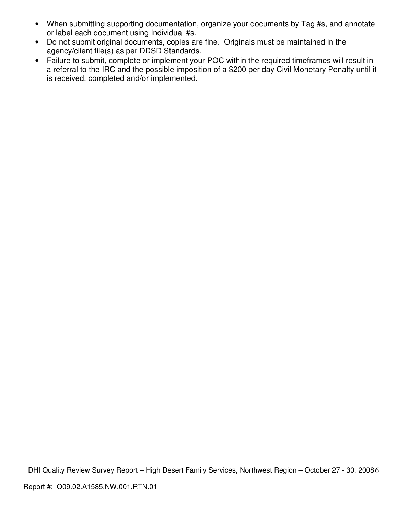- When submitting supporting documentation, organize your documents by Tag #s, and annotate or label each document using Individual #s.
- Do not submit original documents, copies are fine. Originals must be maintained in the agency/client file(s) as per DDSD Standards.
- Failure to submit, complete or implement your POC within the required timeframes will result in a referral to the IRC and the possible imposition of a \$200 per day Civil Monetary Penalty until it is received, completed and/or implemented.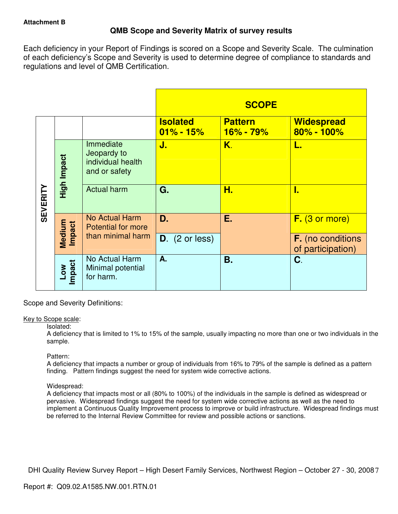# **QMB Scope and Severity Matrix of survey results**

Each deficiency in your Report of Findings is scored on a Scope and Severity Scale. The culmination of each deficiency's Scope and Severity is used to determine degree of compliance to standards and regulations and level of QMB Certification.

|                 |                  |                                                                |                                  | <b>SCOPE</b>                    |                                               |
|-----------------|------------------|----------------------------------------------------------------|----------------------------------|---------------------------------|-----------------------------------------------|
|                 |                  |                                                                | <b>Isolated</b><br>$01\% - 15\%$ | <b>Pattern</b><br>$16\% - 79\%$ | <b>Widespread</b><br>80% - 100%               |
| <b>SEVERITY</b> | High Impact      | Immediate<br>Jeopardy to<br>individual health<br>and or safety | J.                               | Κ.                              | L.                                            |
|                 |                  | <b>Actual harm</b>                                             | G.                               | Н.                              | I.                                            |
|                 | Medium<br>Impact | No Actual Harm<br><b>Potential for more</b>                    | D.                               | Е.                              | $F.$ (3 or more)                              |
|                 |                  | than minimal harm                                              | $D.$ (2 or less)                 |                                 | <b>F.</b> (no conditions<br>of participation) |
|                 | Impact<br>MOT    | No Actual Harm<br>Minimal potential<br>for harm.               | A.                               | <b>B.</b>                       | C.                                            |

Scope and Severity Definitions:

## Key to Scope scale:

## Isolated:

A deficiency that is limited to 1% to 15% of the sample, usually impacting no more than one or two individuals in the sample.

## Pattern:

A deficiency that impacts a number or group of individuals from 16% to 79% of the sample is defined as a pattern finding. Pattern findings suggest the need for system wide corrective actions.

# Widespread:

A deficiency that impacts most or all (80% to 100%) of the individuals in the sample is defined as widespread or pervasive. Widespread findings suggest the need for system wide corrective actions as well as the need to implement a Continuous Quality Improvement process to improve or build infrastructure. Widespread findings must be referred to the Internal Review Committee for review and possible actions or sanctions.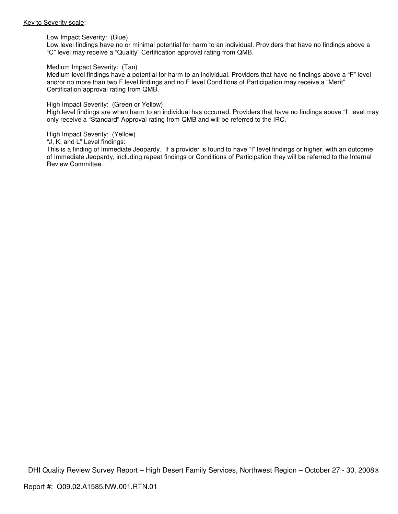#### Key to Severity scale:

Low Impact Severity: (Blue)

Low level findings have no or minimal potential for harm to an individual. Providers that have no findings above a "C" level may receive a "Quality" Certification approval rating from QMB.

#### Medium Impact Severity: (Tan)

Medium level findings have a potential for harm to an individual. Providers that have no findings above a "F" level and/or no more than two F level findings and no F level Conditions of Participation may receive a "Merit" Certification approval rating from QMB.

#### High Impact Severity: (Green or Yellow)

High level findings are when harm to an individual has occurred. Providers that have no findings above "I" level may only receive a "Standard" Approval rating from QMB and will be referred to the IRC.

#### High Impact Severity: (Yellow)

"J, K, and L" Level findings:

This is a finding of Immediate Jeopardy. If a provider is found to have "I" level findings or higher, with an outcome of Immediate Jeopardy, including repeat findings or Conditions of Participation they will be referred to the Internal Review Committee.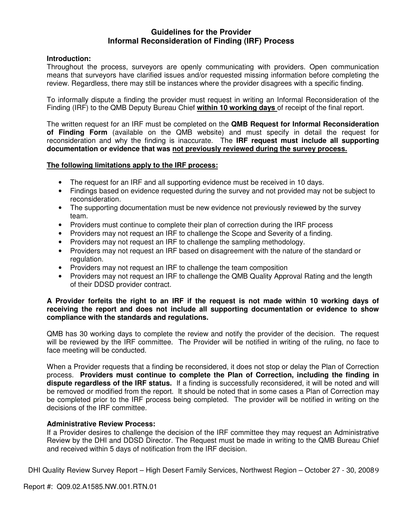# **Guidelines for the Provider Informal Reconsideration of Finding (IRF) Process**

# **Introduction:**

Throughout the process, surveyors are openly communicating with providers. Open communication means that surveyors have clarified issues and/or requested missing information before completing the review. Regardless, there may still be instances where the provider disagrees with a specific finding.

To informally dispute a finding the provider must request in writing an Informal Reconsideration of the Finding (IRF) to the QMB Deputy Bureau Chief **within 10 working days** of receipt of the final report.

The written request for an IRF must be completed on the **QMB Request for Informal Reconsideration of Finding Form** (available on the QMB website) and must specify in detail the request for reconsideration and why the finding is inaccurate. The **IRF request must include all supporting documentation or evidence that was not previously reviewed during the survey process.** 

## **The following limitations apply to the IRF process:**

- The request for an IRF and all supporting evidence must be received in 10 days.
- Findings based on evidence requested during the survey and not provided may not be subject to reconsideration.
- The supporting documentation must be new evidence not previously reviewed by the survey team.
- Providers must continue to complete their plan of correction during the IRF process
- Providers may not request an IRF to challenge the Scope and Severity of a finding.
- Providers may not request an IRF to challenge the sampling methodology.
- Providers may not request an IRF based on disagreement with the nature of the standard or regulation.
- Providers may not request an IRF to challenge the team composition
- Providers may not request an IRF to challenge the QMB Quality Approval Rating and the length of their DDSD provider contract.

## **A Provider forfeits the right to an IRF if the request is not made within 10 working days of receiving the report and does not include all supporting documentation or evidence to show compliance with the standards and regulations.**

QMB has 30 working days to complete the review and notify the provider of the decision. The request will be reviewed by the IRF committee. The Provider will be notified in writing of the ruling, no face to face meeting will be conducted.

When a Provider requests that a finding be reconsidered, it does not stop or delay the Plan of Correction process. **Providers must continue to complete the Plan of Correction, including the finding in dispute regardless of the IRF status.** If a finding is successfully reconsidered, it will be noted and will be removed or modified from the report. It should be noted that in some cases a Plan of Correction may be completed prior to the IRF process being completed. The provider will be notified in writing on the decisions of the IRF committee.

## **Administrative Review Process:**

If a Provider desires to challenge the decision of the IRF committee they may request an Administrative Review by the DHI and DDSD Director. The Request must be made in writing to the QMB Bureau Chief and received within 5 days of notification from the IRF decision.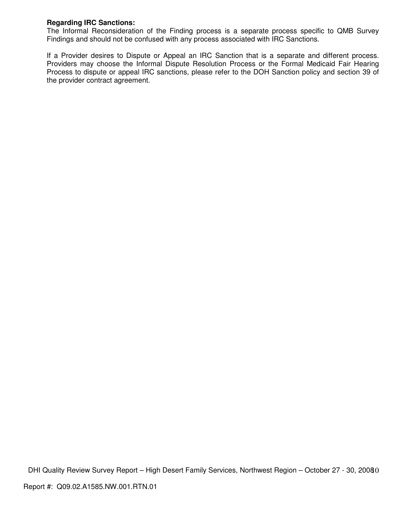# **Regarding IRC Sanctions:**

The Informal Reconsideration of the Finding process is a separate process specific to QMB Survey Findings and should not be confused with any process associated with IRC Sanctions.

If a Provider desires to Dispute or Appeal an IRC Sanction that is a separate and different process. Providers may choose the Informal Dispute Resolution Process or the Formal Medicaid Fair Hearing Process to dispute or appeal IRC sanctions, please refer to the DOH Sanction policy and section 39 of the provider contract agreement.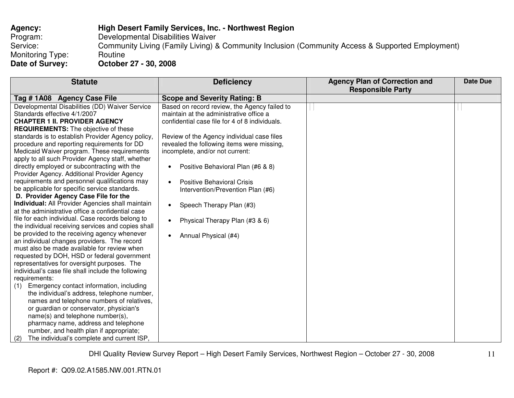| <b>Agency:</b>   | <b>High Desert Family Services, Inc. - Northwest Region</b>                                      |
|------------------|--------------------------------------------------------------------------------------------------|
| Program:         | Developmental Disabilities Waiver                                                                |
| Service:         | Community Living (Family Living) & Community Inclusion (Community Access & Supported Employment) |
| Monitoring Type: | Routine                                                                                          |
| Date of Survey:  | October 27 - 30, 2008                                                                            |

| <b>Statute</b>                                     | <b>Deficiency</b>                              | <b>Agency Plan of Correction and</b> | <b>Date Due</b> |
|----------------------------------------------------|------------------------------------------------|--------------------------------------|-----------------|
|                                                    |                                                | <b>Responsible Party</b>             |                 |
| Tag #1A08 Agency Case File                         | <b>Scope and Severity Rating: B</b>            |                                      |                 |
| Developmental Disabilities (DD) Waiver Service     | Based on record review, the Agency failed to   |                                      |                 |
| Standards effective 4/1/2007                       | maintain at the administrative office a        |                                      |                 |
| <b>CHAPTER 1 II. PROVIDER AGENCY</b>               | confidential case file for 4 of 8 individuals. |                                      |                 |
| <b>REQUIREMENTS:</b> The objective of these        |                                                |                                      |                 |
| standards is to establish Provider Agency policy,  | Review of the Agency individual case files     |                                      |                 |
| procedure and reporting requirements for DD        | revealed the following items were missing,     |                                      |                 |
| Medicaid Waiver program. These requirements        | incomplete, and/or not current:                |                                      |                 |
| apply to all such Provider Agency staff, whether   |                                                |                                      |                 |
| directly employed or subcontracting with the       | Positive Behavioral Plan (#6 & 8)<br>$\bullet$ |                                      |                 |
| Provider Agency. Additional Provider Agency        |                                                |                                      |                 |
| requirements and personnel qualifications may      | <b>Positive Behavioral Crisis</b><br>$\bullet$ |                                      |                 |
| be applicable for specific service standards.      | Intervention/Prevention Plan (#6)              |                                      |                 |
| D. Provider Agency Case File for the               |                                                |                                      |                 |
| Individual: All Provider Agencies shall maintain   | Speech Therapy Plan (#3)<br>$\bullet$          |                                      |                 |
| at the administrative office a confidential case   |                                                |                                      |                 |
| file for each individual. Case records belong to   | Physical Therapy Plan (#3 & 6)<br>$\bullet$    |                                      |                 |
| the individual receiving services and copies shall |                                                |                                      |                 |
| be provided to the receiving agency whenever       | Annual Physical (#4)<br>$\bullet$              |                                      |                 |
| an individual changes providers. The record        |                                                |                                      |                 |
| must also be made available for review when        |                                                |                                      |                 |
| requested by DOH, HSD or federal government        |                                                |                                      |                 |
| representatives for oversight purposes. The        |                                                |                                      |                 |
| individual's case file shall include the following |                                                |                                      |                 |
| requirements:                                      |                                                |                                      |                 |
| Emergency contact information, including<br>(1)    |                                                |                                      |                 |
| the individual's address, telephone number,        |                                                |                                      |                 |
| names and telephone numbers of relatives,          |                                                |                                      |                 |
| or guardian or conservator, physician's            |                                                |                                      |                 |
| name(s) and telephone number(s),                   |                                                |                                      |                 |
| pharmacy name, address and telephone               |                                                |                                      |                 |
| number, and health plan if appropriate;            |                                                |                                      |                 |
| The individual's complete and current ISP,<br>(2)  |                                                |                                      |                 |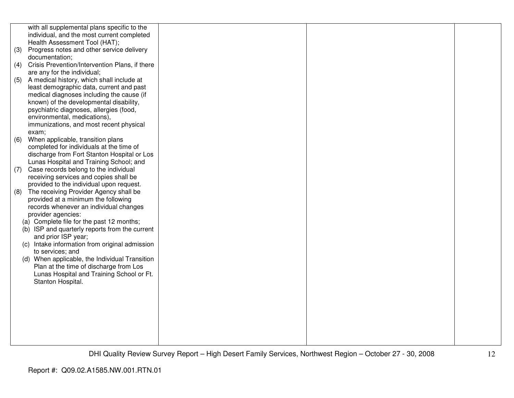|     | with all supplemental plans specific to the       |  |  |
|-----|---------------------------------------------------|--|--|
|     | individual, and the most current completed        |  |  |
|     | Health Assessment Tool (HAT);                     |  |  |
| (3) | Progress notes and other service delivery         |  |  |
|     | documentation;                                    |  |  |
| (4) | Crisis Prevention/Intervention Plans, if there    |  |  |
|     | are any for the individual;                       |  |  |
| (5) | A medical history, which shall include at         |  |  |
|     | least demographic data, current and past          |  |  |
|     | medical diagnoses including the cause (if         |  |  |
|     | known) of the developmental disability,           |  |  |
|     | psychiatric diagnoses, allergies (food,           |  |  |
|     | environmental, medications),                      |  |  |
|     | immunizations, and most recent physical           |  |  |
|     | exam;                                             |  |  |
| (6) | When applicable, transition plans                 |  |  |
|     | completed for individuals at the time of          |  |  |
|     | discharge from Fort Stanton Hospital or Los       |  |  |
|     | Lunas Hospital and Training School; and           |  |  |
| (7) | Case records belong to the individual             |  |  |
|     | receiving services and copies shall be            |  |  |
|     | provided to the individual upon request.          |  |  |
| (8) | The receiving Provider Agency shall be            |  |  |
|     | provided at a minimum the following               |  |  |
|     | records whenever an individual changes            |  |  |
|     | provider agencies:                                |  |  |
|     | (a) Complete file for the past 12 months;         |  |  |
|     | (b) ISP and quarterly reports from the current    |  |  |
|     | and prior ISP year;                               |  |  |
|     | Intake information from original admission<br>(C) |  |  |
|     | to services; and                                  |  |  |
|     | (d) When applicable, the Individual Transition    |  |  |
|     | Plan at the time of discharge from Los            |  |  |
|     | Lunas Hospital and Training School or Ft.         |  |  |
|     | Stanton Hospital.                                 |  |  |
|     |                                                   |  |  |
|     |                                                   |  |  |
|     |                                                   |  |  |
|     |                                                   |  |  |
|     |                                                   |  |  |
|     |                                                   |  |  |
|     |                                                   |  |  |
|     |                                                   |  |  |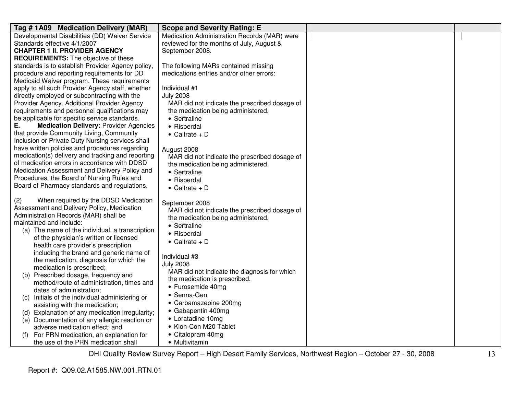| Tag # 1A09 Medication Delivery (MAR)                                                      | <b>Scope and Severity Rating: E</b>           |  |
|-------------------------------------------------------------------------------------------|-----------------------------------------------|--|
| Developmental Disabilities (DD) Waiver Service                                            | Medication Administration Records (MAR) were  |  |
| Standards effective 4/1/2007                                                              | reviewed for the months of July, August &     |  |
| <b>CHAPTER 1 II. PROVIDER AGENCY</b>                                                      | September 2008.                               |  |
| <b>REQUIREMENTS:</b> The objective of these                                               |                                               |  |
| standards is to establish Provider Agency policy,                                         | The following MARs contained missing          |  |
| procedure and reporting requirements for DD                                               | medications entries and/or other errors:      |  |
| Medicaid Waiver program. These requirements                                               |                                               |  |
| apply to all such Provider Agency staff, whether                                          | Individual #1                                 |  |
| directly employed or subcontracting with the                                              | <b>July 2008</b>                              |  |
| Provider Agency. Additional Provider Agency                                               | MAR did not indicate the prescribed dosage of |  |
| requirements and personnel qualifications may                                             | the medication being administered.            |  |
| be applicable for specific service standards.                                             | • Sertraline                                  |  |
| Ε.<br><b>Medication Delivery: Provider Agencies</b>                                       | • Risperdal                                   |  |
| that provide Community Living, Community                                                  | $\bullet$ Caltrate + D                        |  |
| Inclusion or Private Duty Nursing services shall                                          |                                               |  |
| have written policies and procedures regarding                                            | August 2008                                   |  |
| medication(s) delivery and tracking and reporting                                         | MAR did not indicate the prescribed dosage of |  |
| of medication errors in accordance with DDSD                                              | the medication being administered.            |  |
| Medication Assessment and Delivery Policy and                                             | • Sertraline                                  |  |
| Procedures, the Board of Nursing Rules and                                                | • Risperdal                                   |  |
| Board of Pharmacy standards and regulations.                                              | $\bullet$ Caltrate + D                        |  |
| When required by the DDSD Medication<br>(2)<br>Assessment and Delivery Policy, Medication | September 2008                                |  |
| Administration Records (MAR) shall be                                                     | MAR did not indicate the prescribed dosage of |  |
| maintained and include:                                                                   | the medication being administered.            |  |
| (a) The name of the individual, a transcription                                           | • Sertraline                                  |  |
| of the physician's written or licensed                                                    | • Risperdal                                   |  |
| health care provider's prescription                                                       | $\bullet$ Caltrate + D                        |  |
| including the brand and generic name of                                                   |                                               |  |
| the medication, diagnosis for which the                                                   | Individual #3                                 |  |
| medication is prescribed;                                                                 | <b>July 2008</b>                              |  |
| (b) Prescribed dosage, frequency and                                                      | MAR did not indicate the diagnosis for which  |  |
| method/route of administration, times and                                                 | the medication is prescribed.                 |  |
| dates of administration;                                                                  | • Furosemide 40mg                             |  |
| Initials of the individual administering or<br>(C)                                        | • Senna-Gen                                   |  |
| assisting with the medication;                                                            | • Carbamazepine 200mg                         |  |
| Explanation of any medication irregularity;<br>(d)                                        | • Gabapentin 400mg                            |  |
| (e) Documentation of any allergic reaction or                                             | • Loratadine 10mg                             |  |
| adverse medication effect; and                                                            | • Klon-Con M20 Tablet                         |  |
| For PRN medication, an explanation for                                                    | • Citalopram 40mg                             |  |
| the use of the PRN medication shall                                                       | • Multivitamin                                |  |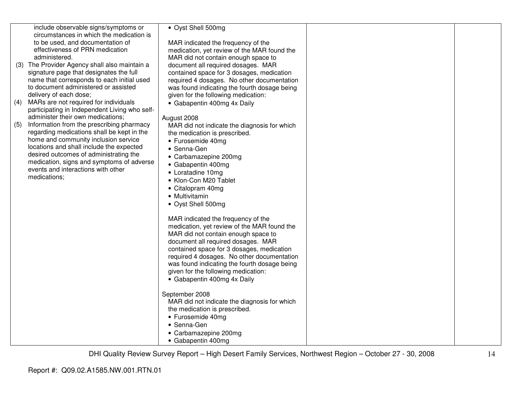|     | include observable signs/symptoms or                                               | • Oyst Shell 500mg                                                            |  |
|-----|------------------------------------------------------------------------------------|-------------------------------------------------------------------------------|--|
|     | circumstances in which the medication is                                           |                                                                               |  |
|     | to be used, and documentation of                                                   | MAR indicated the frequency of the                                            |  |
|     | effectiveness of PRN medication                                                    | medication, yet review of the MAR found the                                   |  |
|     | administered.                                                                      | MAR did not contain enough space to                                           |  |
|     | (3) The Provider Agency shall also maintain a                                      | document all required dosages. MAR                                            |  |
|     | signature page that designates the full                                            | contained space for 3 dosages, medication                                     |  |
|     | name that corresponds to each initial used<br>to document administered or assisted | required 4 dosages. No other documentation                                    |  |
|     | delivery of each dose;                                                             | was found indicating the fourth dosage being                                  |  |
| (4) | MARs are not required for individuals                                              | given for the following medication:                                           |  |
|     | participating in Independent Living who self-                                      | • Gabapentin 400mg 4x Daily                                                   |  |
|     | administer their own medications;                                                  | August 2008                                                                   |  |
| (5) | Information from the prescribing pharmacy                                          | MAR did not indicate the diagnosis for which                                  |  |
|     | regarding medications shall be kept in the                                         | the medication is prescribed.                                                 |  |
|     | home and community inclusion service                                               | • Furosemide 40mg                                                             |  |
|     | locations and shall include the expected                                           | • Senna-Gen                                                                   |  |
|     | desired outcomes of administrating the                                             | • Carbamazepine 200mg                                                         |  |
|     | medication, signs and symptoms of adverse                                          | • Gabapentin 400mg                                                            |  |
|     | events and interactions with other                                                 | • Loratadine 10mg                                                             |  |
|     | medications;                                                                       | • Klon-Con M20 Tablet                                                         |  |
|     |                                                                                    | • Citalopram 40mg                                                             |  |
|     |                                                                                    | • Multivitamin                                                                |  |
|     |                                                                                    | • Oyst Shell 500mg                                                            |  |
|     |                                                                                    |                                                                               |  |
|     |                                                                                    | MAR indicated the frequency of the                                            |  |
|     |                                                                                    | medication, yet review of the MAR found the                                   |  |
|     |                                                                                    | MAR did not contain enough space to                                           |  |
|     |                                                                                    | document all required dosages. MAR                                            |  |
|     |                                                                                    | contained space for 3 dosages, medication                                     |  |
|     |                                                                                    | required 4 dosages. No other documentation                                    |  |
|     |                                                                                    | was found indicating the fourth dosage being                                  |  |
|     |                                                                                    | given for the following medication:                                           |  |
|     |                                                                                    | • Gabapentin 400mg 4x Daily                                                   |  |
|     |                                                                                    |                                                                               |  |
|     |                                                                                    | September 2008                                                                |  |
|     |                                                                                    | MAR did not indicate the diagnosis for which<br>the medication is prescribed. |  |
|     |                                                                                    | • Furosemide 40mg                                                             |  |
|     |                                                                                    | • Senna-Gen                                                                   |  |
|     |                                                                                    | • Carbamazepine 200mg                                                         |  |
|     |                                                                                    | • Gabapentin 400mg                                                            |  |
|     |                                                                                    |                                                                               |  |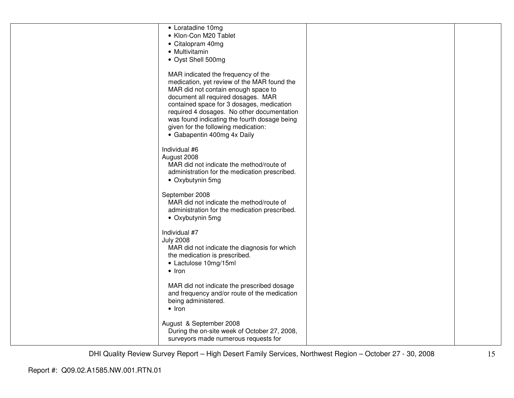| • Loratadine 10mg<br>• Klon-Con M20 Tablet<br>• Citalopram 40mg<br>• Multivitamin<br>• Oyst Shell 500mg                                                                                                                                                                                                                                                                         |  |
|---------------------------------------------------------------------------------------------------------------------------------------------------------------------------------------------------------------------------------------------------------------------------------------------------------------------------------------------------------------------------------|--|
| MAR indicated the frequency of the<br>medication, yet review of the MAR found the<br>MAR did not contain enough space to<br>document all required dosages. MAR<br>contained space for 3 dosages, medication<br>required 4 dosages. No other documentation<br>was found indicating the fourth dosage being<br>given for the following medication:<br>• Gabapentin 400mg 4x Daily |  |
| Individual #6<br>August 2008<br>MAR did not indicate the method/route of<br>administration for the medication prescribed.<br>• Oxybutynin 5mg                                                                                                                                                                                                                                   |  |
| September 2008<br>MAR did not indicate the method/route of<br>administration for the medication prescribed.<br>• Oxybutynin 5mg                                                                                                                                                                                                                                                 |  |
| Individual #7<br><b>July 2008</b><br>MAR did not indicate the diagnosis for which<br>the medication is prescribed.<br>• Lactulose 10mg/15ml<br>$\bullet$ Iron                                                                                                                                                                                                                   |  |
| MAR did not indicate the prescribed dosage<br>and frequency and/or route of the medication<br>being administered.<br>$\bullet$ Iron                                                                                                                                                                                                                                             |  |
| August & September 2008<br>During the on-site week of October 27, 2008,<br>surveyors made numerous requests for                                                                                                                                                                                                                                                                 |  |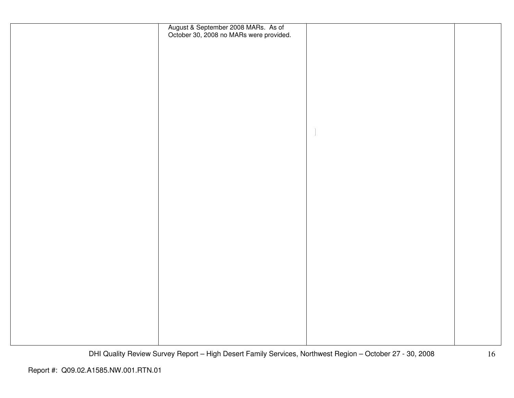| August & September 2008 MARs. As of<br>October 30, 2008 no MARs were provided. |  |
|--------------------------------------------------------------------------------|--|
|                                                                                |  |
|                                                                                |  |
|                                                                                |  |
|                                                                                |  |
|                                                                                |  |
|                                                                                |  |
|                                                                                |  |
|                                                                                |  |
|                                                                                |  |
|                                                                                |  |
|                                                                                |  |
|                                                                                |  |
|                                                                                |  |
|                                                                                |  |
|                                                                                |  |
|                                                                                |  |
|                                                                                |  |
|                                                                                |  |
|                                                                                |  |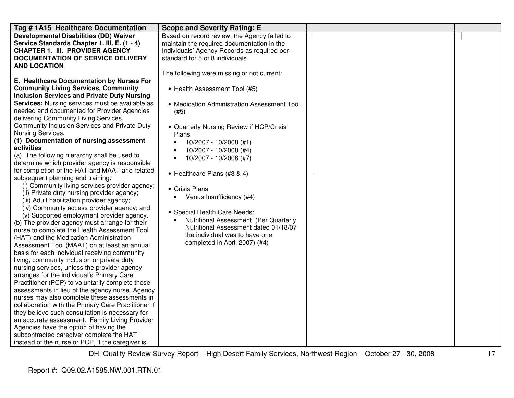| Tag # 1A15 Healthcare Documentation                                                                                                                                                                                                                                                                                                                                                                                                                                                                                                                                                                                                                                                                                                                                                                                                                                                                                                                                                                                                                                                                                                                                                                                                                                                                                                                                                                                                                                                                                                                                                                                                                                                                                       | <b>Scope and Severity Rating: E</b>                                                                                                                                                                                                                                                                                                                                                                                                                                                                                                                               |  |
|---------------------------------------------------------------------------------------------------------------------------------------------------------------------------------------------------------------------------------------------------------------------------------------------------------------------------------------------------------------------------------------------------------------------------------------------------------------------------------------------------------------------------------------------------------------------------------------------------------------------------------------------------------------------------------------------------------------------------------------------------------------------------------------------------------------------------------------------------------------------------------------------------------------------------------------------------------------------------------------------------------------------------------------------------------------------------------------------------------------------------------------------------------------------------------------------------------------------------------------------------------------------------------------------------------------------------------------------------------------------------------------------------------------------------------------------------------------------------------------------------------------------------------------------------------------------------------------------------------------------------------------------------------------------------------------------------------------------------|-------------------------------------------------------------------------------------------------------------------------------------------------------------------------------------------------------------------------------------------------------------------------------------------------------------------------------------------------------------------------------------------------------------------------------------------------------------------------------------------------------------------------------------------------------------------|--|
| <b>Developmental Disabilities (DD) Waiver</b><br>Service Standards Chapter 1. III. E. (1 - 4)<br><b>CHAPTER 1. III. PROVIDER AGENCY</b><br><b>DOCUMENTATION OF SERVICE DELIVERY</b><br><b>AND LOCATION</b>                                                                                                                                                                                                                                                                                                                                                                                                                                                                                                                                                                                                                                                                                                                                                                                                                                                                                                                                                                                                                                                                                                                                                                                                                                                                                                                                                                                                                                                                                                                | Based on record review, the Agency failed to<br>maintain the required documentation in the<br>Individuals' Agency Records as required per<br>standard for 5 of 8 individuals.                                                                                                                                                                                                                                                                                                                                                                                     |  |
| E. Healthcare Documentation by Nurses For<br><b>Community Living Services, Community</b><br><b>Inclusion Services and Private Duty Nursing</b><br><b>Services:</b> Nursing services must be available as<br>needed and documented for Provider Agencies<br>delivering Community Living Services,<br>Community Inclusion Services and Private Duty<br>Nursing Services.<br>(1) Documentation of nursing assessment<br>activities<br>(a) The following hierarchy shall be used to<br>determine which provider agency is responsible<br>for completion of the HAT and MAAT and related<br>subsequent planning and training:<br>(i) Community living services provider agency;<br>(ii) Private duty nursing provider agency;<br>(iii) Adult habilitation provider agency;<br>(iv) Community access provider agency; and<br>(v) Supported employment provider agency.<br>(b) The provider agency must arrange for their<br>nurse to complete the Health Assessment Tool<br>(HAT) and the Medication Administration<br>Assessment Tool (MAAT) on at least an annual<br>basis for each individual receiving community<br>living, community inclusion or private duty<br>nursing services, unless the provider agency<br>arranges for the individual's Primary Care<br>Practitioner (PCP) to voluntarily complete these<br>assessments in lieu of the agency nurse. Agency<br>nurses may also complete these assessments in<br>collaboration with the Primary Care Practitioner if<br>they believe such consultation is necessary for<br>an accurate assessment. Family Living Provider<br>Agencies have the option of having the<br>subcontracted caregiver complete the HAT<br>instead of the nurse or PCP, if the caregiver is | The following were missing or not current:<br>• Health Assessment Tool (#5)<br>• Medication Administration Assessment Tool<br>(#5)<br>• Quarterly Nursing Review if HCP/Crisis<br>Plans<br>10/2007 - 10/2008 (#1)<br>$\bullet$<br>10/2007 - 10/2008 (#4)<br>10/2007 - 10/2008 (#7)<br>$\bullet$<br>• Healthcare Plans (#3 & 4)<br>• Crisis Plans<br>Venus Insufficiency (#4)<br>• Special Health Care Needs:<br>Nutritional Assessment (Per Quarterly<br>Nutritional Assessment dated 01/18/07<br>the individual was to have one<br>completed in April 2007) (#4) |  |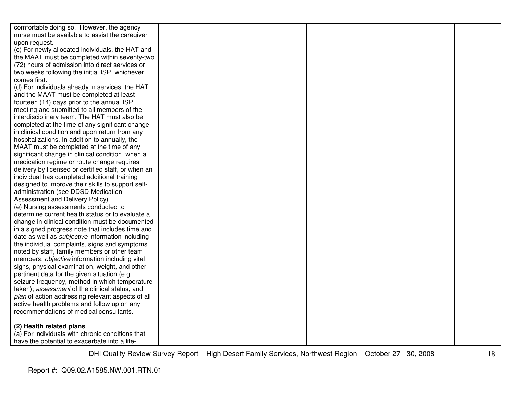| comfortable doing so. However, the agency               |  |  |
|---------------------------------------------------------|--|--|
| nurse must be available to assist the caregiver         |  |  |
| upon request.                                           |  |  |
| (c) For newly allocated individuals, the HAT and        |  |  |
| the MAAT must be completed within seventy-two           |  |  |
| (72) hours of admission into direct services or         |  |  |
| two weeks following the initial ISP, whichever          |  |  |
| comes first.                                            |  |  |
| (d) For individuals already in services, the HAT        |  |  |
| and the MAAT must be completed at least                 |  |  |
| fourteen (14) days prior to the annual ISP              |  |  |
| meeting and submitted to all members of the             |  |  |
| interdisciplinary team. The HAT must also be            |  |  |
| completed at the time of any significant change         |  |  |
| in clinical condition and upon return from any          |  |  |
| hospitalizations. In addition to annually, the          |  |  |
| MAAT must be completed at the time of any               |  |  |
| significant change in clinical condition, when a        |  |  |
| medication regime or route change requires              |  |  |
| delivery by licensed or certified staff, or when an     |  |  |
| individual has completed additional training            |  |  |
| designed to improve their skills to support self-       |  |  |
| administration (see DDSD Medication                     |  |  |
| Assessment and Delivery Policy).                        |  |  |
| (e) Nursing assessments conducted to                    |  |  |
| determine current health status or to evaluate a        |  |  |
| change in clinical condition must be documented         |  |  |
| in a signed progress note that includes time and        |  |  |
| date as well as <i>subjective</i> information including |  |  |
| the individual complaints, signs and symptoms           |  |  |
| noted by staff, family members or other team            |  |  |
| members; objective information including vital          |  |  |
| signs, physical examination, weight, and other          |  |  |
| pertinent data for the given situation (e.g.,           |  |  |
| seizure frequency, method in which temperature          |  |  |
| taken); assessment of the clinical status, and          |  |  |
| plan of action addressing relevant aspects of all       |  |  |
| active health problems and follow up on any             |  |  |
| recommendations of medical consultants.                 |  |  |
| (2) Health related plans                                |  |  |
| (a) For individuals with chronic conditions that        |  |  |
| have the potential to exacerbate into a life-           |  |  |
|                                                         |  |  |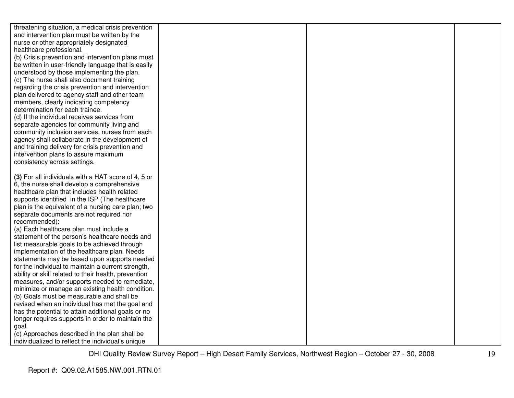| threatening situation, a medical crisis prevention                                        |  |  |
|-------------------------------------------------------------------------------------------|--|--|
| and intervention plan must be written by the                                              |  |  |
| nurse or other appropriately designated                                                   |  |  |
| healthcare professional.                                                                  |  |  |
| (b) Crisis prevention and intervention plans must                                         |  |  |
| be written in user-friendly language that is easily                                       |  |  |
| understood by those implementing the plan.                                                |  |  |
| (c) The nurse shall also document training                                                |  |  |
| regarding the crisis prevention and intervention                                          |  |  |
| plan delivered to agency staff and other team                                             |  |  |
| members, clearly indicating competency                                                    |  |  |
| determination for each trainee.                                                           |  |  |
| (d) If the individual receives services from                                              |  |  |
| separate agencies for community living and                                                |  |  |
| community inclusion services, nurses from each                                            |  |  |
| agency shall collaborate in the development of                                            |  |  |
| and training delivery for crisis prevention and                                           |  |  |
| intervention plans to assure maximum                                                      |  |  |
| consistency across settings.                                                              |  |  |
|                                                                                           |  |  |
| (3) For all individuals with a HAT score of 4, 5 or                                       |  |  |
| 6, the nurse shall develop a comprehensive                                                |  |  |
| healthcare plan that includes health related                                              |  |  |
| supports identified in the ISP (The healthcare                                            |  |  |
| plan is the equivalent of a nursing care plan; two                                        |  |  |
| separate documents are not required nor                                                   |  |  |
| recommended):                                                                             |  |  |
| (a) Each healthcare plan must include a<br>statement of the person's healthcare needs and |  |  |
| list measurable goals to be achieved through                                              |  |  |
| implementation of the healthcare plan. Needs                                              |  |  |
| statements may be based upon supports needed                                              |  |  |
| for the individual to maintain a current strength,                                        |  |  |
| ability or skill related to their health, prevention                                      |  |  |
| measures, and/or supports needed to remediate,                                            |  |  |
| minimize or manage an existing health condition.                                          |  |  |
| (b) Goals must be measurable and shall be                                                 |  |  |
| revised when an individual has met the goal and                                           |  |  |
| has the potential to attain additional goals or no                                        |  |  |
| longer requires supports in order to maintain the                                         |  |  |
| goal.                                                                                     |  |  |
| (c) Approaches described in the plan shall be                                             |  |  |
| individualized to reflect the individual's unique                                         |  |  |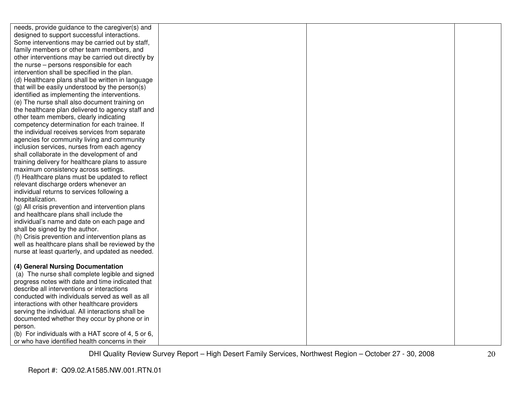| needs, provide guidance to the caregiver(s) and    |  |  |
|----------------------------------------------------|--|--|
| designed to support successful interactions.       |  |  |
| Some interventions may be carried out by staff,    |  |  |
| family members or other team members, and          |  |  |
| other interventions may be carried out directly by |  |  |
| the nurse - persons responsible for each           |  |  |
| intervention shall be specified in the plan.       |  |  |
| (d) Healthcare plans shall be written in language  |  |  |
| that will be easily understood by the person(s)    |  |  |
| identified as implementing the interventions.      |  |  |
| (e) The nurse shall also document training on      |  |  |
| the healthcare plan delivered to agency staff and  |  |  |
| other team members, clearly indicating             |  |  |
| competency determination for each trainee. If      |  |  |
| the individual receives services from separate     |  |  |
| agencies for community living and community        |  |  |
| inclusion services, nurses from each agency        |  |  |
| shall collaborate in the development of and        |  |  |
| training delivery for healthcare plans to assure   |  |  |
| maximum consistency across settings.               |  |  |
| (f) Healthcare plans must be updated to reflect    |  |  |
| relevant discharge orders whenever an              |  |  |
| individual returns to services following a         |  |  |
| hospitalization.                                   |  |  |
| (g) All crisis prevention and intervention plans   |  |  |
| and healthcare plans shall include the             |  |  |
| individual's name and date on each page and        |  |  |
| shall be signed by the author.                     |  |  |
| (h) Crisis prevention and intervention plans as    |  |  |
| well as healthcare plans shall be reviewed by the  |  |  |
| nurse at least quarterly, and updated as needed.   |  |  |
|                                                    |  |  |
| (4) General Nursing Documentation                  |  |  |
| (a) The nurse shall complete legible and signed    |  |  |
| progress notes with date and time indicated that   |  |  |
| describe all interventions or interactions         |  |  |
| conducted with individuals served as well as all   |  |  |
| interactions with other healthcare providers       |  |  |
| serving the individual. All interactions shall be  |  |  |
| documented whether they occur by phone or in       |  |  |
| person.                                            |  |  |
| (b) For individuals with a HAT score of 4, 5 or 6, |  |  |
| or who have identified health concerns in their    |  |  |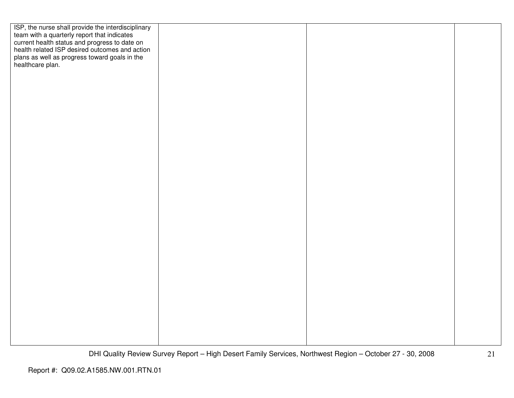| ISP, the nurse shall provide the interdisciplinary<br>team with a quarterly report that indicates<br>current health status and progress to date on<br>health related ISP desired outcomes and action |  |  |
|------------------------------------------------------------------------------------------------------------------------------------------------------------------------------------------------------|--|--|
|                                                                                                                                                                                                      |  |  |
|                                                                                                                                                                                                      |  |  |
|                                                                                                                                                                                                      |  |  |
| plans as well as progress toward goals in the healthcare plan.                                                                                                                                       |  |  |
|                                                                                                                                                                                                      |  |  |
|                                                                                                                                                                                                      |  |  |
|                                                                                                                                                                                                      |  |  |
|                                                                                                                                                                                                      |  |  |
|                                                                                                                                                                                                      |  |  |
|                                                                                                                                                                                                      |  |  |
|                                                                                                                                                                                                      |  |  |
|                                                                                                                                                                                                      |  |  |
|                                                                                                                                                                                                      |  |  |
|                                                                                                                                                                                                      |  |  |
|                                                                                                                                                                                                      |  |  |
|                                                                                                                                                                                                      |  |  |
|                                                                                                                                                                                                      |  |  |
|                                                                                                                                                                                                      |  |  |
|                                                                                                                                                                                                      |  |  |
|                                                                                                                                                                                                      |  |  |
|                                                                                                                                                                                                      |  |  |
|                                                                                                                                                                                                      |  |  |
|                                                                                                                                                                                                      |  |  |
|                                                                                                                                                                                                      |  |  |
|                                                                                                                                                                                                      |  |  |
|                                                                                                                                                                                                      |  |  |
|                                                                                                                                                                                                      |  |  |
|                                                                                                                                                                                                      |  |  |
|                                                                                                                                                                                                      |  |  |
|                                                                                                                                                                                                      |  |  |
|                                                                                                                                                                                                      |  |  |
|                                                                                                                                                                                                      |  |  |
|                                                                                                                                                                                                      |  |  |
|                                                                                                                                                                                                      |  |  |
|                                                                                                                                                                                                      |  |  |
|                                                                                                                                                                                                      |  |  |
|                                                                                                                                                                                                      |  |  |
|                                                                                                                                                                                                      |  |  |
|                                                                                                                                                                                                      |  |  |
|                                                                                                                                                                                                      |  |  |
|                                                                                                                                                                                                      |  |  |
|                                                                                                                                                                                                      |  |  |
|                                                                                                                                                                                                      |  |  |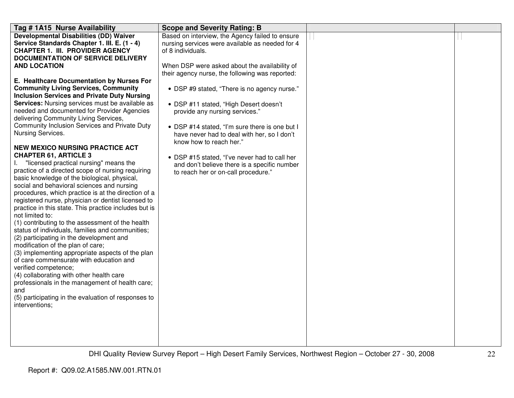| Tag # 1A15 Nurse Availability                                                                                                                                                                                                                                                                                                                                                                                                                                                                                                                                                                                                                                                                                               | <b>Scope and Severity Rating: B</b>                                                                                                                                                                                                                                                                                                                                                                                                                                                              |  |
|-----------------------------------------------------------------------------------------------------------------------------------------------------------------------------------------------------------------------------------------------------------------------------------------------------------------------------------------------------------------------------------------------------------------------------------------------------------------------------------------------------------------------------------------------------------------------------------------------------------------------------------------------------------------------------------------------------------------------------|--------------------------------------------------------------------------------------------------------------------------------------------------------------------------------------------------------------------------------------------------------------------------------------------------------------------------------------------------------------------------------------------------------------------------------------------------------------------------------------------------|--|
| <b>Developmental Disabilities (DD) Waiver</b><br>Service Standards Chapter 1. III. E. (1 - 4)<br><b>CHAPTER 1. III. PROVIDER AGENCY</b><br><b>DOCUMENTATION OF SERVICE DELIVERY</b>                                                                                                                                                                                                                                                                                                                                                                                                                                                                                                                                         | Based on interview, the Agency failed to ensure<br>nursing services were available as needed for 4<br>of 8 individuals.                                                                                                                                                                                                                                                                                                                                                                          |  |
| <b>AND LOCATION</b><br>E. Healthcare Documentation by Nurses For<br><b>Community Living Services, Community</b><br><b>Inclusion Services and Private Duty Nursing</b><br><b>Services:</b> Nursing services must be available as<br>needed and documented for Provider Agencies<br>delivering Community Living Services,<br>Community Inclusion Services and Private Duty<br>Nursing Services.<br><b>NEW MEXICO NURSING PRACTICE ACT</b><br><b>CHAPTER 61, ARTICLE 3</b><br>"licensed practical nursing" means the<br>practice of a directed scope of nursing requiring<br>basic knowledge of the biological, physical,<br>social and behavioral sciences and nursing<br>procedures, which practice is at the direction of a | When DSP were asked about the availability of<br>their agency nurse, the following was reported:<br>• DSP #9 stated, "There is no agency nurse."<br>• DSP #11 stated, "High Desert doesn't<br>provide any nursing services."<br>• DSP #14 stated, "I'm sure there is one but I<br>have never had to deal with her, so I don't<br>know how to reach her."<br>• DSP #15 stated, "I've never had to call her<br>and don't believe there is a specific number<br>to reach her or on-call procedure." |  |
| registered nurse, physician or dentist licensed to<br>practice in this state. This practice includes but is<br>not limited to:<br>(1) contributing to the assessment of the health<br>status of individuals, families and communities;<br>(2) participating in the development and<br>modification of the plan of care;<br>(3) implementing appropriate aspects of the plan<br>of care commensurate with education and<br>verified competence;<br>(4) collaborating with other health care<br>professionals in the management of health care;<br>and<br>(5) participating in the evaluation of responses to<br>interventions:                                                                                               |                                                                                                                                                                                                                                                                                                                                                                                                                                                                                                  |  |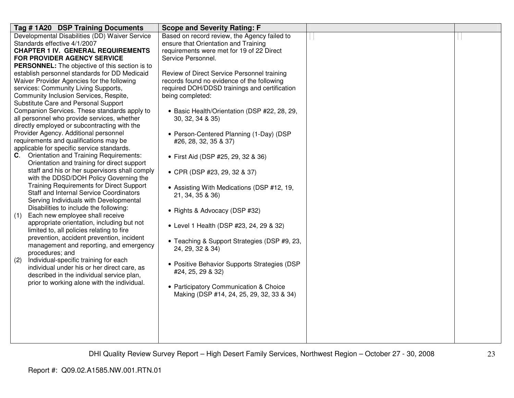| Tag #1A20 DSP Training Documents                                                        | <b>Scope and Severity Rating: F</b>                             |  |
|-----------------------------------------------------------------------------------------|-----------------------------------------------------------------|--|
| Developmental Disabilities (DD) Waiver Service                                          | Based on record review, the Agency failed to                    |  |
| Standards effective 4/1/2007                                                            | ensure that Orientation and Training                            |  |
| <b>CHAPTER 1 IV. GENERAL REQUIREMENTS</b><br><b>FOR PROVIDER AGENCY SERVICE</b>         | requirements were met for 19 of 22 Direct<br>Service Personnel. |  |
| <b>PERSONNEL:</b> The objective of this section is to                                   |                                                                 |  |
| establish personnel standards for DD Medicaid                                           | Review of Direct Service Personnel training                     |  |
| Waiver Provider Agencies for the following                                              | records found no evidence of the following                      |  |
| services: Community Living Supports,                                                    | required DOH/DDSD trainings and certification                   |  |
| Community Inclusion Services, Respite,                                                  | being completed:                                                |  |
| Substitute Care and Personal Support                                                    |                                                                 |  |
| Companion Services. These standards apply to                                            | • Basic Health/Orientation (DSP #22, 28, 29,                    |  |
| all personnel who provide services, whether                                             | 30, 32, 34 & 35)                                                |  |
| directly employed or subcontracting with the                                            |                                                                 |  |
| Provider Agency. Additional personnel                                                   | • Person-Centered Planning (1-Day) (DSP                         |  |
| requirements and qualifications may be                                                  | #26, 28, 32, 35 & 37)                                           |  |
| applicable for specific service standards.<br>C. Orientation and Training Requirements: |                                                                 |  |
| Orientation and training for direct support                                             | • First Aid (DSP #25, 29, 32 & 36)                              |  |
| staff and his or her supervisors shall comply                                           |                                                                 |  |
| with the DDSD/DOH Policy Governing the                                                  | • CPR (DSP #23, 29, 32 & 37)                                    |  |
| <b>Training Requirements for Direct Support</b>                                         | • Assisting With Medications (DSP #12, 19,                      |  |
| <b>Staff and Internal Service Coordinators</b>                                          | 21, 34, 35 & 36)                                                |  |
| Serving Individuals with Developmental                                                  |                                                                 |  |
| Disabilities to include the following:                                                  | • Rights & Advocacy (DSP #32)                                   |  |
| Each new employee shall receive<br>(1)                                                  |                                                                 |  |
| appropriate orientation, including but not                                              | • Level 1 Health (DSP #23, 24, 29 & 32)                         |  |
| limited to, all policies relating to fire                                               |                                                                 |  |
| prevention, accident prevention, incident<br>management and reporting, and emergency    | • Teaching & Support Strategies (DSP #9, 23,                    |  |
| procedures; and                                                                         | 24, 29, 32 & 34)                                                |  |
| Individual-specific training for each<br>(2)                                            |                                                                 |  |
| individual under his or her direct care, as                                             | • Positive Behavior Supports Strategies (DSP                    |  |
| described in the individual service plan,                                               | #24, 25, 29 & 32)                                               |  |
| prior to working alone with the individual.                                             |                                                                 |  |
|                                                                                         | • Participatory Communication & Choice                          |  |
|                                                                                         | Making (DSP #14, 24, 25, 29, 32, 33 & 34)                       |  |
|                                                                                         |                                                                 |  |
|                                                                                         |                                                                 |  |
|                                                                                         |                                                                 |  |
|                                                                                         |                                                                 |  |
|                                                                                         |                                                                 |  |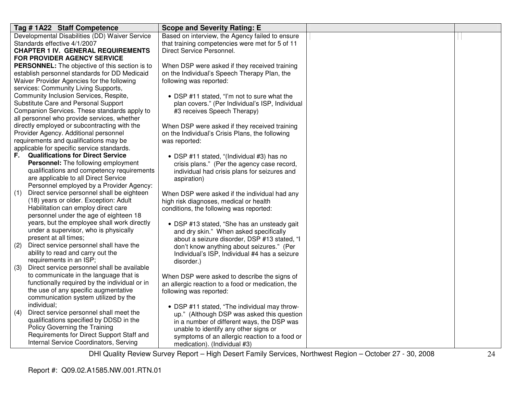| Tag #1A22 Staff Competence                            | <b>Scope and Severity Rating: E</b>               |  |
|-------------------------------------------------------|---------------------------------------------------|--|
| Developmental Disabilities (DD) Waiver Service        | Based on interview, the Agency failed to ensure   |  |
| Standards effective 4/1/2007                          | that training competencies were met for 5 of 11   |  |
| <b>CHAPTER 1 IV. GENERAL REQUIREMENTS</b>             | Direct Service Personnel.                         |  |
| <b>FOR PROVIDER AGENCY SERVICE</b>                    |                                                   |  |
| <b>PERSONNEL:</b> The objective of this section is to | When DSP were asked if they received training     |  |
| establish personnel standards for DD Medicaid         | on the Individual's Speech Therapy Plan, the      |  |
| Waiver Provider Agencies for the following            | following was reported:                           |  |
| services: Community Living Supports,                  |                                                   |  |
| Community Inclusion Services, Respite,                | • DSP #11 stated, "I'm not to sure what the       |  |
| Substitute Care and Personal Support                  | plan covers." (Per Individual's ISP, Individual   |  |
| Companion Services. These standards apply to          | #3 receives Speech Therapy)                       |  |
| all personnel who provide services, whether           |                                                   |  |
| directly employed or subcontracting with the          | When DSP were asked if they received training     |  |
| Provider Agency. Additional personnel                 | on the Individual's Crisis Plans, the following   |  |
| requirements and qualifications may be                | was reported:                                     |  |
| applicable for specific service standards.            |                                                   |  |
| <b>Qualifications for Direct Service</b><br>F.        | • DSP #11 stated, "(Individual #3) has no         |  |
| <b>Personnel:</b> The following employment            | crisis plans." (Per the agency case record,       |  |
| qualifications and competency requirements            | individual had crisis plans for seizures and      |  |
| are applicable to all Direct Service                  | aspiration)                                       |  |
| Personnel employed by a Provider Agency:              |                                                   |  |
| Direct service personnel shall be eighteen<br>(1)     | When DSP were asked if the individual had any     |  |
| (18) years or older. Exception: Adult                 | high risk diagnoses, medical or health            |  |
| Habilitation can employ direct care                   | conditions, the following was reported:           |  |
| personnel under the age of eighteen 18                |                                                   |  |
| years, but the employee shall work directly           | • DSP #13 stated, "She has an unsteady gait       |  |
| under a supervisor, who is physically                 | and dry skin." When asked specifically            |  |
| present at all times;                                 | about a seizure disorder, DSP #13 stated, "I      |  |
| Direct service personnel shall have the<br>(2)        | don't know anything about seizures." (Per         |  |
| ability to read and carry out the                     | Individual's ISP, Individual #4 has a seizure     |  |
| requirements in an ISP;                               | disorder.)                                        |  |
| Direct service personnel shall be available<br>(3)    |                                                   |  |
| to communicate in the language that is                | When DSP were asked to describe the signs of      |  |
| functionally required by the individual or in         | an allergic reaction to a food or medication, the |  |
| the use of any specific augmentative                  | following was reported:                           |  |
| communication system utilized by the                  |                                                   |  |
| individual;                                           | • DSP #11 stated, "The individual may throw-      |  |
| Direct service personnel shall meet the<br>(4)        | up." (Although DSP was asked this question        |  |
| qualifications specified by DDSD in the               | in a number of different ways, the DSP was        |  |
| Policy Governing the Training                         | unable to identify any other signs or             |  |
| Requirements for Direct Support Staff and             | symptoms of an allergic reaction to a food or     |  |
| Internal Service Coordinators, Serving                | medication). (Individual #3)                      |  |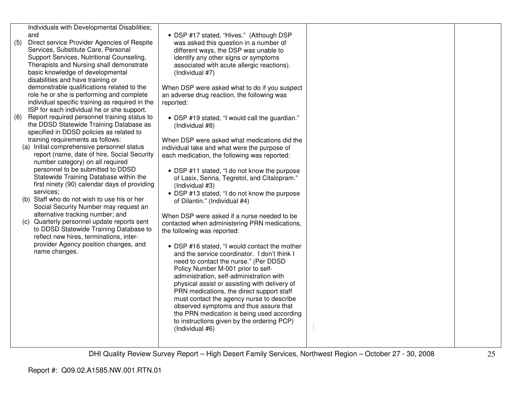| (5) | Individuals with Developmental Disabilities;<br>and<br>Direct service Provider Agencies of Respite<br>Services, Substitute Care, Personal<br>Support Services, Nutritional Counseling,<br>Therapists and Nursing shall demonstrate<br>basic knowledge of developmental<br>disabilities and have training or<br>demonstrable qualifications related to the<br>role he or she is performing and complete<br>individual specific training as required in the<br>ISP for each individual he or she support.<br>Report required personnel training status to | • DSP #17 stated, "Hives." (Although DSP<br>was asked this question in a number of<br>different ways, the DSP was unable to<br>identify any other signs or symptoms<br>associated with acute allergic reactions).<br>(Individual #7)<br>When DSP were asked what to do if you suspect<br>an adverse drug reaction, the following was<br>reported: |  |
|-----|---------------------------------------------------------------------------------------------------------------------------------------------------------------------------------------------------------------------------------------------------------------------------------------------------------------------------------------------------------------------------------------------------------------------------------------------------------------------------------------------------------------------------------------------------------|---------------------------------------------------------------------------------------------------------------------------------------------------------------------------------------------------------------------------------------------------------------------------------------------------------------------------------------------------|--|
| (6) | the DDSD Statewide Training Database as<br>specified in DDSD policies as related to                                                                                                                                                                                                                                                                                                                                                                                                                                                                     | • DSP #19 stated, "I would call the guardian."<br>(Individual #8)                                                                                                                                                                                                                                                                                 |  |
|     | training requirements as follows:<br>(a) Initial comprehensive personnel status<br>report (name, date of hire, Social Security<br>number category) on all required                                                                                                                                                                                                                                                                                                                                                                                      | When DSP were asked what medications did the<br>individual take and what were the purpose of<br>each medication, the following was reported:                                                                                                                                                                                                      |  |
|     | personnel to be submitted to DDSD<br>Statewide Training Database within the<br>first ninety (90) calendar days of providing<br>services;                                                                                                                                                                                                                                                                                                                                                                                                                | • DSP #11 stated, "I do not know the purpose<br>of Lasix, Senna, Tegretol, and Citalopram."<br>(Individual #3)<br>• DSP #13 stated, "I do not know the purpose                                                                                                                                                                                    |  |
|     | (b) Staff who do not wish to use his or her<br>Social Security Number may request an                                                                                                                                                                                                                                                                                                                                                                                                                                                                    | of Dilantin." (Individual #4)                                                                                                                                                                                                                                                                                                                     |  |
|     | alternative tracking number; and<br>(c) Quarterly personnel update reports sent<br>to DDSD Statewide Training Database to<br>reflect new hires, terminations, inter-                                                                                                                                                                                                                                                                                                                                                                                    | When DSP were asked if a nurse needed to be<br>contacted when administering PRN medications,<br>the following was reported:                                                                                                                                                                                                                       |  |
|     | provider Agency position changes, and<br>name changes.                                                                                                                                                                                                                                                                                                                                                                                                                                                                                                  | • DSP #16 stated, "I would contact the mother<br>and the service coordinator. I don't think I<br>need to contact the nurse." (Per DDSD<br>Policy Number M-001 prior to self-<br>administration, self-administration with<br>physical assist or assisting with delivery of                                                                         |  |
|     |                                                                                                                                                                                                                                                                                                                                                                                                                                                                                                                                                         | PRN medications, the direct support staff<br>must contact the agency nurse to describe<br>observed symptoms and thus assure that<br>the PRN medication is being used according<br>to instructions given by the ordering PCP)<br>(Individual #6)                                                                                                   |  |
|     |                                                                                                                                                                                                                                                                                                                                                                                                                                                                                                                                                         |                                                                                                                                                                                                                                                                                                                                                   |  |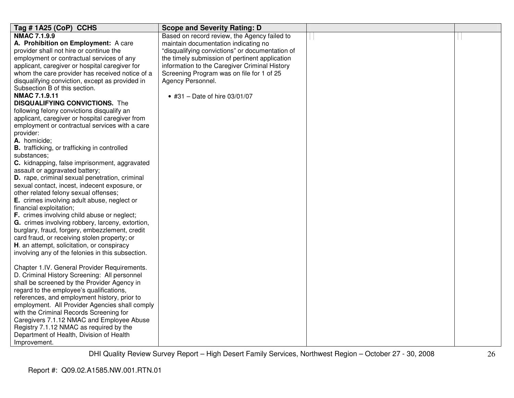| Tag #1A25 (CoP) CCHS                                | <b>Scope and Severity Rating: D</b>             |  |
|-----------------------------------------------------|-------------------------------------------------|--|
| <b>NMAC 7.1.9.9</b>                                 | Based on record review, the Agency failed to    |  |
| A. Prohibition on Employment: A care                | maintain documentation indicating no            |  |
| provider shall not hire or continue the             | "disqualifying convictions" or documentation of |  |
| employment or contractual services of any           | the timely submission of pertinent application  |  |
| applicant, caregiver or hospital caregiver for      | information to the Caregiver Criminal History   |  |
| whom the care provider has received notice of a     | Screening Program was on file for 1 of 25       |  |
| disqualifying conviction, except as provided in     | Agency Personnel.                               |  |
| Subsection B of this section.                       |                                                 |  |
| <b>NMAC 7.1.9.11</b>                                | • #31 - Date of hire $03/01/07$                 |  |
| <b>DISQUALIFYING CONVICTIONS.</b> The               |                                                 |  |
| following felony convictions disqualify an          |                                                 |  |
| applicant, caregiver or hospital caregiver from     |                                                 |  |
| employment or contractual services with a care      |                                                 |  |
| provider:                                           |                                                 |  |
| A. homicide;                                        |                                                 |  |
| <b>B.</b> trafficking, or trafficking in controlled |                                                 |  |
| substances;                                         |                                                 |  |
| C. kidnapping, false imprisonment, aggravated       |                                                 |  |
| assault or aggravated battery;                      |                                                 |  |
| D. rape, criminal sexual penetration, criminal      |                                                 |  |
| sexual contact, incest, indecent exposure, or       |                                                 |  |
| other related felony sexual offenses;               |                                                 |  |
| E. crimes involving adult abuse, neglect or         |                                                 |  |
| financial exploitation;                             |                                                 |  |
| F. crimes involving child abuse or neglect;         |                                                 |  |
| G. crimes involving robbery, larceny, extortion,    |                                                 |  |
| burglary, fraud, forgery, embezzlement, credit      |                                                 |  |
| card fraud, or receiving stolen property; or        |                                                 |  |
| H. an attempt, solicitation, or conspiracy          |                                                 |  |
| involving any of the felonies in this subsection.   |                                                 |  |
|                                                     |                                                 |  |
| Chapter 1.IV. General Provider Requirements.        |                                                 |  |
| D. Criminal History Screening: All personnel        |                                                 |  |
| shall be screened by the Provider Agency in         |                                                 |  |
| regard to the employee's qualifications,            |                                                 |  |
| references, and employment history, prior to        |                                                 |  |
| employment. All Provider Agencies shall comply      |                                                 |  |
| with the Criminal Records Screening for             |                                                 |  |
| Caregivers 7.1.12 NMAC and Employee Abuse           |                                                 |  |
| Registry 7.1.12 NMAC as required by the             |                                                 |  |
| Department of Health, Division of Health            |                                                 |  |
| Improvement.                                        |                                                 |  |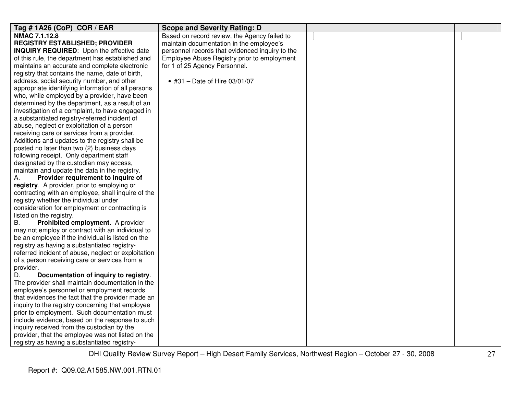| Tag # 1A26 (CoP) COR / EAR                                                                      | <b>Scope and Severity Rating: D</b>             |  |
|-------------------------------------------------------------------------------------------------|-------------------------------------------------|--|
| NMAC 7.1.12.8                                                                                   | Based on record review, the Agency failed to    |  |
| <b>REGISTRY ESTABLISHED; PROVIDER</b>                                                           | maintain documentation in the employee's        |  |
| <b>INQUIRY REQUIRED:</b> Upon the effective date                                                | personnel records that evidenced inquiry to the |  |
| of this rule, the department has established and                                                | Employee Abuse Registry prior to employment     |  |
| maintains an accurate and complete electronic                                                   | for 1 of 25 Agency Personnel.                   |  |
| registry that contains the name, date of birth,                                                 |                                                 |  |
| address, social security number, and other                                                      | • #31 - Date of Hire $03/01/07$                 |  |
| appropriate identifying information of all persons                                              |                                                 |  |
| who, while employed by a provider, have been                                                    |                                                 |  |
| determined by the department, as a result of an                                                 |                                                 |  |
| investigation of a complaint, to have engaged in                                                |                                                 |  |
| a substantiated registry-referred incident of                                                   |                                                 |  |
| abuse, neglect or exploitation of a person                                                      |                                                 |  |
| receiving care or services from a provider.                                                     |                                                 |  |
| Additions and updates to the registry shall be                                                  |                                                 |  |
| posted no later than two (2) business days                                                      |                                                 |  |
| following receipt. Only department staff                                                        |                                                 |  |
| designated by the custodian may access,                                                         |                                                 |  |
| maintain and update the data in the registry.                                                   |                                                 |  |
| Provider requirement to inquire of<br>А.                                                        |                                                 |  |
| registry. A provider, prior to employing or                                                     |                                                 |  |
| contracting with an employee, shall inquire of the                                              |                                                 |  |
| registry whether the individual under                                                           |                                                 |  |
| consideration for employment or contracting is                                                  |                                                 |  |
| listed on the registry.                                                                         |                                                 |  |
| Prohibited employment. A provider<br>В.                                                         |                                                 |  |
| may not employ or contract with an individual to                                                |                                                 |  |
| be an employee if the individual is listed on the                                               |                                                 |  |
| registry as having a substantiated registry-                                                    |                                                 |  |
| referred incident of abuse, neglect or exploitation                                             |                                                 |  |
| of a person receiving care or services from a                                                   |                                                 |  |
| provider.                                                                                       |                                                 |  |
| D.<br>Documentation of inquiry to registry.<br>The provider shall maintain documentation in the |                                                 |  |
| employee's personnel or employment records                                                      |                                                 |  |
| that evidences the fact that the provider made an                                               |                                                 |  |
| inquiry to the registry concerning that employee                                                |                                                 |  |
| prior to employment. Such documentation must                                                    |                                                 |  |
| include evidence, based on the response to such                                                 |                                                 |  |
| inquiry received from the custodian by the                                                      |                                                 |  |
| provider, that the employee was not listed on the                                               |                                                 |  |
|                                                                                                 |                                                 |  |
| registry as having a substantiated registry-                                                    |                                                 |  |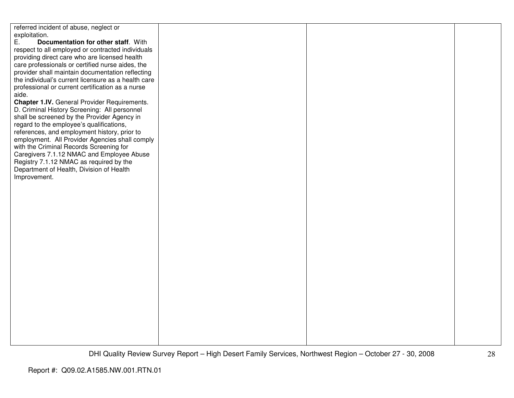referred incident of abuse, neglect or exploitation.<br>E. Doc E. **Documentation for other staff**. With respect to all employed or contracted individuals providing direct care who are licensed health care professionals or certified nurse aides, the provider shall maintain documentation reflecting the individual's current licensure as a health careprofessional or current certification as a nurse aide. **Chapter 1.IV.** General Provider Requirements. D. Criminal History Screening: All personnel shall be screened by the Provider Agency in regard to the employee's qualifications, references, and employment history, prior to employment. All Provider Agencies shall comply with the Criminal Records Screening for Caregivers 7.1.12 NMAC and Employee Abuse Registry 7.1.12 NMAC as required by the Department of Health, Division of Health Improvement.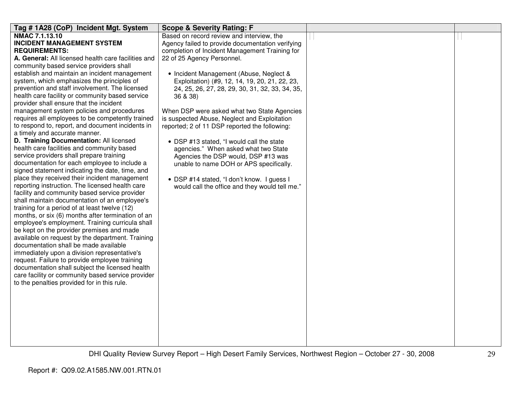| Tag #1A28 (CoP) Incident Mgt. System                                                             | <b>Scope &amp; Severity Rating: F</b>            |  |
|--------------------------------------------------------------------------------------------------|--------------------------------------------------|--|
| <b>NMAC 7.1.13.10</b>                                                                            | Based on record review and interview, the        |  |
| <b>INCIDENT MANAGEMENT SYSTEM</b>                                                                | Agency failed to provide documentation verifying |  |
| <b>REQUIREMENTS:</b>                                                                             | completion of Incident Management Training for   |  |
| A. General: All licensed health care facilities and                                              | 22 of 25 Agency Personnel.                       |  |
| community based service providers shall                                                          |                                                  |  |
| establish and maintain an incident management                                                    | • Incident Management (Abuse, Neglect &          |  |
| system, which emphasizes the principles of                                                       | Exploitation) (#9, 12, 14, 19, 20, 21, 22, 23,   |  |
| prevention and staff involvement. The licensed                                                   | 24, 25, 26, 27, 28, 29, 30, 31, 32, 33, 34, 35,  |  |
| health care facility or community based service                                                  | 36 & 38)                                         |  |
| provider shall ensure that the incident                                                          |                                                  |  |
| management system policies and procedures                                                        | When DSP were asked what two State Agencies      |  |
| requires all employees to be competently trained                                                 | is suspected Abuse, Neglect and Exploitation     |  |
| to respond to, report, and document incidents in                                                 | reported; 2 of 11 DSP reported the following:    |  |
| a timely and accurate manner.                                                                    |                                                  |  |
| D. Training Documentation: All licensed                                                          | • DSP #13 stated, "I would call the state        |  |
| health care facilities and community based                                                       | agencies." When asked what two State             |  |
| service providers shall prepare training                                                         | Agencies the DSP would, DSP #13 was              |  |
| documentation for each employee to include a                                                     | unable to name DOH or APS specifically.          |  |
| signed statement indicating the date, time, and<br>place they received their incident management |                                                  |  |
| reporting instruction. The licensed health care                                                  | • DSP #14 stated, "I don't know. I guess I       |  |
| facility and community based service provider                                                    | would call the office and they would tell me."   |  |
| shall maintain documentation of an employee's                                                    |                                                  |  |
| training for a period of at least twelve (12)                                                    |                                                  |  |
| months, or six (6) months after termination of an                                                |                                                  |  |
| employee's employment. Training curricula shall                                                  |                                                  |  |
| be kept on the provider premises and made                                                        |                                                  |  |
| available on request by the department. Training                                                 |                                                  |  |
| documentation shall be made available                                                            |                                                  |  |
| immediately upon a division representative's                                                     |                                                  |  |
| request. Failure to provide employee training                                                    |                                                  |  |
| documentation shall subject the licensed health                                                  |                                                  |  |
| care facility or community based service provider                                                |                                                  |  |
| to the penalties provided for in this rule.                                                      |                                                  |  |
|                                                                                                  |                                                  |  |
|                                                                                                  |                                                  |  |
|                                                                                                  |                                                  |  |
|                                                                                                  |                                                  |  |
|                                                                                                  |                                                  |  |
|                                                                                                  |                                                  |  |
|                                                                                                  |                                                  |  |
|                                                                                                  |                                                  |  |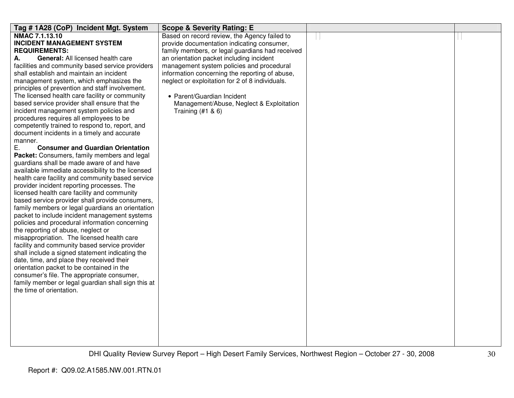| Tag #1A28 (CoP) Incident Mgt. System                                                           | <b>Scope &amp; Severity Rating: E</b>           |  |
|------------------------------------------------------------------------------------------------|-------------------------------------------------|--|
| <b>NMAC 7.1.13.10</b>                                                                          | Based on record review, the Agency failed to    |  |
| <b>INCIDENT MANAGEMENT SYSTEM</b>                                                              | provide documentation indicating consumer,      |  |
| <b>REQUIREMENTS:</b>                                                                           | family members, or legal guardians had received |  |
| General: All licensed health care<br>А.                                                        | an orientation packet including incident        |  |
| facilities and community based service providers                                               | management system policies and procedural       |  |
| shall establish and maintain an incident                                                       | information concerning the reporting of abuse,  |  |
| management system, which emphasizes the                                                        | neglect or exploitation for 2 of 8 individuals. |  |
| principles of prevention and staff involvement.                                                |                                                 |  |
| The licensed health care facility or community                                                 | • Parent/Guardian Incident                      |  |
| based service provider shall ensure that the                                                   | Management/Abuse, Neglect & Exploitation        |  |
| incident management system policies and                                                        | Training $(#1 & 8)$                             |  |
| procedures requires all employees to be                                                        |                                                 |  |
| competently trained to respond to, report, and                                                 |                                                 |  |
| document incidents in a timely and accurate                                                    |                                                 |  |
| manner.                                                                                        |                                                 |  |
| Ε.<br><b>Consumer and Guardian Orientation</b>                                                 |                                                 |  |
| Packet: Consumers, family members and legal                                                    |                                                 |  |
| guardians shall be made aware of and have<br>available immediate accessibility to the licensed |                                                 |  |
| health care facility and community based service                                               |                                                 |  |
| provider incident reporting processes. The                                                     |                                                 |  |
| licensed health care facility and community                                                    |                                                 |  |
| based service provider shall provide consumers,                                                |                                                 |  |
| family members or legal guardians an orientation                                               |                                                 |  |
| packet to include incident management systems                                                  |                                                 |  |
| policies and procedural information concerning                                                 |                                                 |  |
| the reporting of abuse, neglect or                                                             |                                                 |  |
| misappropriation. The licensed health care                                                     |                                                 |  |
| facility and community based service provider                                                  |                                                 |  |
| shall include a signed statement indicating the                                                |                                                 |  |
| date, time, and place they received their                                                      |                                                 |  |
| orientation packet to be contained in the                                                      |                                                 |  |
| consumer's file. The appropriate consumer,                                                     |                                                 |  |
| family member or legal guardian shall sign this at                                             |                                                 |  |
| the time of orientation.                                                                       |                                                 |  |
|                                                                                                |                                                 |  |
|                                                                                                |                                                 |  |
|                                                                                                |                                                 |  |
|                                                                                                |                                                 |  |
|                                                                                                |                                                 |  |
|                                                                                                |                                                 |  |
|                                                                                                |                                                 |  |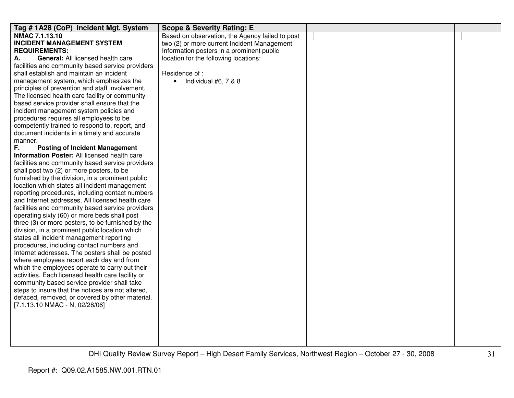| Tag #1A28 (CoP) Incident Mgt. System              | <b>Scope &amp; Severity Rating: E</b>           |  |
|---------------------------------------------------|-------------------------------------------------|--|
| NMAC 7.1.13.10                                    | Based on observation, the Agency failed to post |  |
| <b>INCIDENT MANAGEMENT SYSTEM</b>                 | two (2) or more current Incident Management     |  |
| <b>REQUIREMENTS:</b>                              | Information posters in a prominent public       |  |
| <b>General: All licensed health care</b><br>А.    | location for the following locations:           |  |
| facilities and community based service providers  |                                                 |  |
| shall establish and maintain an incident          | Residence of:                                   |  |
| management system, which emphasizes the           | Individual #6, 7 & 8<br>$\bullet$               |  |
| principles of prevention and staff involvement.   |                                                 |  |
| The licensed health care facility or community    |                                                 |  |
| based service provider shall ensure that the      |                                                 |  |
| incident management system policies and           |                                                 |  |
| procedures requires all employees to be           |                                                 |  |
| competently trained to respond to, report, and    |                                                 |  |
| document incidents in a timely and accurate       |                                                 |  |
| manner.                                           |                                                 |  |
| F.<br><b>Posting of Incident Management</b>       |                                                 |  |
| Information Poster: All licensed health care      |                                                 |  |
| facilities and community based service providers  |                                                 |  |
| shall post two (2) or more posters, to be         |                                                 |  |
| furnished by the division, in a prominent public  |                                                 |  |
| location which states all incident management     |                                                 |  |
| reporting procedures, including contact numbers   |                                                 |  |
| and Internet addresses. All licensed health care  |                                                 |  |
| facilities and community based service providers  |                                                 |  |
| operating sixty (60) or more beds shall post      |                                                 |  |
| three (3) or more posters, to be furnished by the |                                                 |  |
| division, in a prominent public location which    |                                                 |  |
| states all incident management reporting          |                                                 |  |
| procedures, including contact numbers and         |                                                 |  |
| Internet addresses. The posters shall be posted   |                                                 |  |
| where employees report each day and from          |                                                 |  |
| which the employees operate to carry out their    |                                                 |  |
| activities. Each licensed health care facility or |                                                 |  |
| community based service provider shall take       |                                                 |  |
| steps to insure that the notices are not altered, |                                                 |  |
| defaced, removed, or covered by other material.   |                                                 |  |
| [7.1.13.10 NMAC - N, 02/28/06]                    |                                                 |  |
|                                                   |                                                 |  |
|                                                   |                                                 |  |
|                                                   |                                                 |  |
|                                                   |                                                 |  |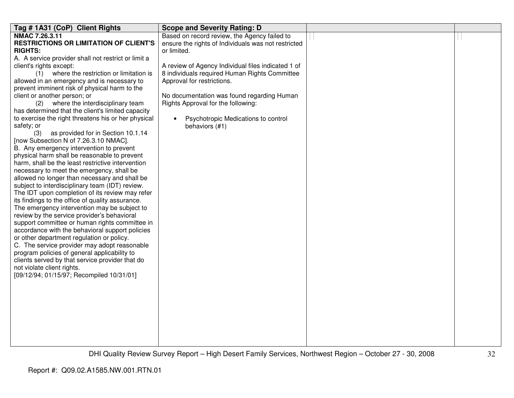| NMAC 7.26.3.11<br>Based on record review, the Agency failed to<br><b>RESTRICTIONS OR LIMITATION OF CLIENT'S</b><br>ensure the rights of Individuals was not restricted<br><b>RIGHTS:</b><br>or limited. |
|---------------------------------------------------------------------------------------------------------------------------------------------------------------------------------------------------------|
|                                                                                                                                                                                                         |
|                                                                                                                                                                                                         |
|                                                                                                                                                                                                         |
| A. A service provider shall not restrict or limit a                                                                                                                                                     |
| A review of Agency Individual files indicated 1 of<br>client's rights except:                                                                                                                           |
| (1) where the restriction or limitation is<br>8 individuals required Human Rights Committee                                                                                                             |
| allowed in an emergency and is necessary to<br>Approval for restrictions.                                                                                                                               |
| prevent imminent risk of physical harm to the                                                                                                                                                           |
| client or another person; or<br>No documentation was found regarding Human                                                                                                                              |
| where the interdisciplinary team<br>Rights Approval for the following:<br>(2)                                                                                                                           |
| has determined that the client's limited capacity                                                                                                                                                       |
| to exercise the right threatens his or her physical<br>Psychotropic Medications to control<br>$\bullet$                                                                                                 |
| safety; or<br>behaviors (#1)                                                                                                                                                                            |
| as provided for in Section 10.1.14<br>(3)                                                                                                                                                               |
| [now Subsection N of 7.26.3.10 NMAC].                                                                                                                                                                   |
| B. Any emergency intervention to prevent                                                                                                                                                                |
| physical harm shall be reasonable to prevent                                                                                                                                                            |
| harm, shall be the least restrictive intervention                                                                                                                                                       |
| necessary to meet the emergency, shall be                                                                                                                                                               |
| allowed no longer than necessary and shall be                                                                                                                                                           |
| subject to interdisciplinary team (IDT) review.                                                                                                                                                         |
| The IDT upon completion of its review may refer                                                                                                                                                         |
| its findings to the office of quality assurance.                                                                                                                                                        |
| The emergency intervention may be subject to                                                                                                                                                            |
| review by the service provider's behavioral                                                                                                                                                             |
| support committee or human rights committee in                                                                                                                                                          |
| accordance with the behavioral support policies                                                                                                                                                         |
| or other department regulation or policy.                                                                                                                                                               |
| C. The service provider may adopt reasonable                                                                                                                                                            |
| program policies of general applicability to                                                                                                                                                            |
| clients served by that service provider that do                                                                                                                                                         |
| not violate client rights.<br>[09/12/94; 01/15/97; Recompiled 10/31/01]                                                                                                                                 |
|                                                                                                                                                                                                         |
|                                                                                                                                                                                                         |
|                                                                                                                                                                                                         |
|                                                                                                                                                                                                         |
|                                                                                                                                                                                                         |
|                                                                                                                                                                                                         |
|                                                                                                                                                                                                         |
|                                                                                                                                                                                                         |
|                                                                                                                                                                                                         |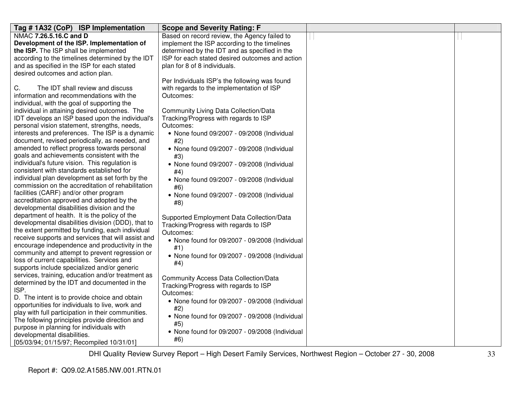| Tag #1A32 (CoP) ISP Implementation                 | <b>Scope and Severity Rating: F</b>             |  |
|----------------------------------------------------|-------------------------------------------------|--|
| NMAC 7.26.5.16.C and D                             | Based on record review, the Agency failed to    |  |
| Development of the ISP. Implementation of          | implement the ISP according to the timelines    |  |
| the ISP. The ISP shall be implemented              | determined by the IDT and as specified in the   |  |
| according to the timelines determined by the IDT   | ISP for each stated desired outcomes and action |  |
| and as specified in the ISP for each stated        | plan for 8 of 8 individuals.                    |  |
| desired outcomes and action plan.                  |                                                 |  |
|                                                    | Per Individuals ISP's the following was found   |  |
| The IDT shall review and discuss<br>C.             | with regards to the implementation of ISP       |  |
| information and recommendations with the           | Outcomes:                                       |  |
| individual, with the goal of supporting the        |                                                 |  |
| individual in attaining desired outcomes. The      | Community Living Data Collection/Data           |  |
| IDT develops an ISP based upon the individual's    | Tracking/Progress with regards to ISP           |  |
| personal vision statement, strengths, needs,       | Outcomes:                                       |  |
| interests and preferences. The ISP is a dynamic    | • None found 09/2007 - 09/2008 (Individual      |  |
| document, revised periodically, as needed, and     | #2)                                             |  |
| amended to reflect progress towards personal       | • None found 09/2007 - 09/2008 (Individual      |  |
| goals and achievements consistent with the         | #3)                                             |  |
| individual's future vision. This regulation is     | • None found 09/2007 - 09/2008 (Individual      |  |
| consistent with standards established for          | #4)                                             |  |
| individual plan development as set forth by the    | • None found 09/2007 - 09/2008 (Individual      |  |
| commission on the accreditation of rehabilitation  | #6)                                             |  |
| facilities (CARF) and/or other program             | • None found 09/2007 - 09/2008 (Individual      |  |
| accreditation approved and adopted by the          | #8)                                             |  |
| developmental disabilities division and the        |                                                 |  |
| department of health. It is the policy of the      | Supported Employment Data Collection/Data       |  |
| developmental disabilities division (DDD), that to | Tracking/Progress with regards to ISP           |  |
| the extent permitted by funding, each individual   | Outcomes:                                       |  |
| receive supports and services that will assist and | • None found for 09/2007 - 09/2008 (Individual  |  |
| encourage independence and productivity in the     | #1)                                             |  |
| community and attempt to prevent regression or     | • None found for 09/2007 - 09/2008 (Individual  |  |
| loss of current capabilities. Services and         | #4)                                             |  |
| supports include specialized and/or generic        |                                                 |  |
| services, training, education and/or treatment as  | <b>Community Access Data Collection/Data</b>    |  |
| determined by the IDT and documented in the        | Tracking/Progress with regards to ISP           |  |
| ISP.                                               | Outcomes:                                       |  |
| D. The intent is to provide choice and obtain      | • None found for 09/2007 - 09/2008 (Individual  |  |
| opportunities for individuals to live, work and    | #2)                                             |  |
| play with full participation in their communities. | • None found for 09/2007 - 09/2008 (Individual  |  |
| The following principles provide direction and     | #5)                                             |  |
| purpose in planning for individuals with           | • None found for 09/2007 - 09/2008 (Individual  |  |
| developmental disabilities.                        | #6)                                             |  |
| [05/03/94; 01/15/97; Recompiled 10/31/01]          |                                                 |  |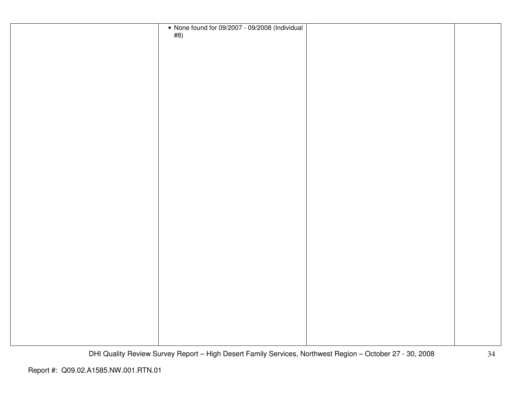| • None found for 09/2007 - 09/2008 (Individual #8) |  |
|----------------------------------------------------|--|
|                                                    |  |
|                                                    |  |
|                                                    |  |
|                                                    |  |
|                                                    |  |
|                                                    |  |
|                                                    |  |
|                                                    |  |
|                                                    |  |
|                                                    |  |
|                                                    |  |
|                                                    |  |
|                                                    |  |
|                                                    |  |
|                                                    |  |
|                                                    |  |
|                                                    |  |
|                                                    |  |
|                                                    |  |
|                                                    |  |
|                                                    |  |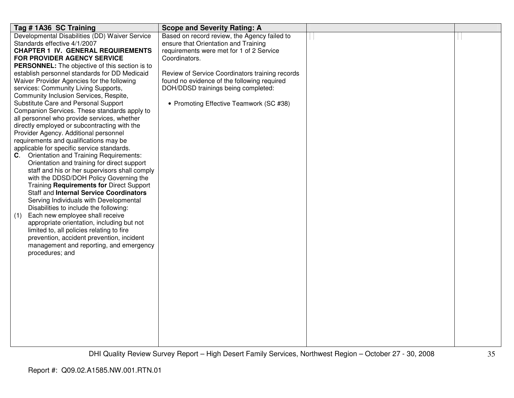| Tag # 1A36 SC Training                                | <b>Scope and Severity Rating: A</b>             |  |
|-------------------------------------------------------|-------------------------------------------------|--|
| Developmental Disabilities (DD) Waiver Service        | Based on record review, the Agency failed to    |  |
| Standards effective 4/1/2007                          | ensure that Orientation and Training            |  |
| <b>CHAPTER 1 IV. GENERAL REQUIREMENTS</b>             | requirements were met for 1 of 2 Service        |  |
| FOR PROVIDER AGENCY SERVICE                           | Coordinators.                                   |  |
| <b>PERSONNEL:</b> The objective of this section is to |                                                 |  |
| establish personnel standards for DD Medicaid         | Review of Service Coordinators training records |  |
| Waiver Provider Agencies for the following            | found no evidence of the following required     |  |
| services: Community Living Supports,                  | DOH/DDSD trainings being completed:             |  |
| Community Inclusion Services, Respite,                |                                                 |  |
| Substitute Care and Personal Support                  | • Promoting Effective Teamwork (SC #38)         |  |
| Companion Services. These standards apply to          |                                                 |  |
| all personnel who provide services, whether           |                                                 |  |
| directly employed or subcontracting with the          |                                                 |  |
| Provider Agency. Additional personnel                 |                                                 |  |
| requirements and qualifications may be                |                                                 |  |
| applicable for specific service standards.            |                                                 |  |
| Orientation and Training Requirements:<br>C.          |                                                 |  |
| Orientation and training for direct support           |                                                 |  |
| staff and his or her supervisors shall comply         |                                                 |  |
| with the DDSD/DOH Policy Governing the                |                                                 |  |
| Training Requirements for Direct Support              |                                                 |  |
| <b>Staff and Internal Service Coordinators</b>        |                                                 |  |
| Serving Individuals with Developmental                |                                                 |  |
| Disabilities to include the following:                |                                                 |  |
| Each new employee shall receive<br>(1)                |                                                 |  |
| appropriate orientation, including but not            |                                                 |  |
| limited to, all policies relating to fire             |                                                 |  |
| prevention, accident prevention, incident             |                                                 |  |
| management and reporting, and emergency               |                                                 |  |
| procedures; and                                       |                                                 |  |
|                                                       |                                                 |  |
|                                                       |                                                 |  |
|                                                       |                                                 |  |
|                                                       |                                                 |  |
|                                                       |                                                 |  |
|                                                       |                                                 |  |
|                                                       |                                                 |  |
|                                                       |                                                 |  |
|                                                       |                                                 |  |
|                                                       |                                                 |  |
|                                                       |                                                 |  |
|                                                       |                                                 |  |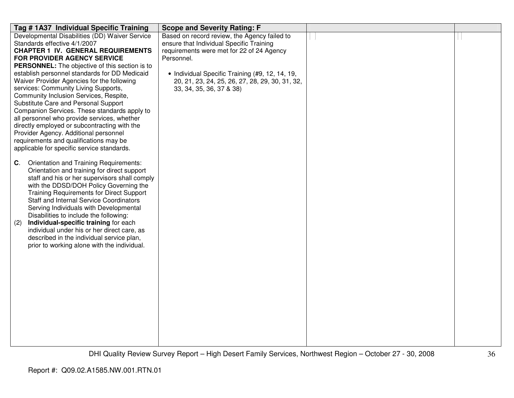| Tag # 1A37 Individual Specific Training         | <b>Scope and Severity Rating: F</b>             |  |
|-------------------------------------------------|-------------------------------------------------|--|
| Developmental Disabilities (DD) Waiver Service  | Based on record review, the Agency failed to    |  |
| Standards effective 4/1/2007                    | ensure that Individual Specific Training        |  |
| <b>CHAPTER 1 IV. GENERAL REQUIREMENTS</b>       | requirements were met for 22 of 24 Agency       |  |
| FOR PROVIDER AGENCY SERVICE                     | Personnel.                                      |  |
| PERSONNEL: The objective of this section is to  |                                                 |  |
| establish personnel standards for DD Medicaid   | • Individual Specific Training (#9, 12, 14, 19, |  |
| Waiver Provider Agencies for the following      | 20, 21, 23, 24, 25, 26, 27, 28, 29, 30, 31, 32, |  |
| services: Community Living Supports,            | 33, 34, 35, 36, 37 & 38)                        |  |
| Community Inclusion Services, Respite,          |                                                 |  |
| Substitute Care and Personal Support            |                                                 |  |
| Companion Services. These standards apply to    |                                                 |  |
| all personnel who provide services, whether     |                                                 |  |
| directly employed or subcontracting with the    |                                                 |  |
| Provider Agency. Additional personnel           |                                                 |  |
| requirements and qualifications may be          |                                                 |  |
| applicable for specific service standards.      |                                                 |  |
|                                                 |                                                 |  |
| Orientation and Training Requirements:<br>C.    |                                                 |  |
| Orientation and training for direct support     |                                                 |  |
| staff and his or her supervisors shall comply   |                                                 |  |
| with the DDSD/DOH Policy Governing the          |                                                 |  |
| <b>Training Requirements for Direct Support</b> |                                                 |  |
| <b>Staff and Internal Service Coordinators</b>  |                                                 |  |
| Serving Individuals with Developmental          |                                                 |  |
| Disabilities to include the following:          |                                                 |  |
| Individual-specific training for each<br>(2)    |                                                 |  |
| individual under his or her direct care, as     |                                                 |  |
| described in the individual service plan,       |                                                 |  |
| prior to working alone with the individual.     |                                                 |  |
|                                                 |                                                 |  |
|                                                 |                                                 |  |
|                                                 |                                                 |  |
|                                                 |                                                 |  |
|                                                 |                                                 |  |
|                                                 |                                                 |  |
|                                                 |                                                 |  |
|                                                 |                                                 |  |
|                                                 |                                                 |  |
|                                                 |                                                 |  |
|                                                 |                                                 |  |
|                                                 |                                                 |  |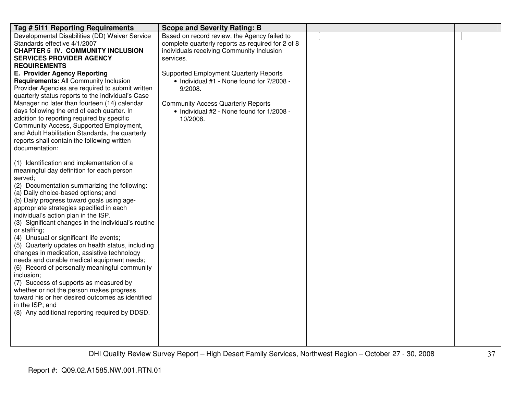| Tag # 5111 Reporting Requirements                                                                                                                                                                                                                                                                                                                                                                                                                                                                                                                                                                                                                                                                                                                                                                                                                                             | <b>Scope and Severity Rating: B</b>                                                                                                                                                                         |  |
|-------------------------------------------------------------------------------------------------------------------------------------------------------------------------------------------------------------------------------------------------------------------------------------------------------------------------------------------------------------------------------------------------------------------------------------------------------------------------------------------------------------------------------------------------------------------------------------------------------------------------------------------------------------------------------------------------------------------------------------------------------------------------------------------------------------------------------------------------------------------------------|-------------------------------------------------------------------------------------------------------------------------------------------------------------------------------------------------------------|--|
| Developmental Disabilities (DD) Waiver Service<br>Standards effective 4/1/2007<br><b>CHAPTER 5 IV. COMMUNITY INCLUSION</b><br><b>SERVICES PROVIDER AGENCY</b><br><b>REQUIREMENTS</b>                                                                                                                                                                                                                                                                                                                                                                                                                                                                                                                                                                                                                                                                                          | Based on record review, the Agency failed to<br>complete quarterly reports as required for 2 of 8<br>individuals receiving Community Inclusion<br>services.                                                 |  |
| E. Provider Agency Reporting<br>Requirements: All Community Inclusion<br>Provider Agencies are required to submit written<br>quarterly status reports to the individual's Case<br>Manager no later than fourteen (14) calendar<br>days following the end of each quarter. In<br>addition to reporting required by specific<br>Community Access, Supported Employment,<br>and Adult Habilitation Standards, the quarterly<br>reports shall contain the following written<br>documentation:                                                                                                                                                                                                                                                                                                                                                                                     | <b>Supported Employment Quarterly Reports</b><br>• Individual #1 - None found for 7/2008 -<br>9/2008.<br><b>Community Access Quarterly Reports</b><br>• Individual #2 - None found for 1/2008 -<br>10/2008. |  |
| (1) Identification and implementation of a<br>meaningful day definition for each person<br>served;<br>(2) Documentation summarizing the following:<br>(a) Daily choice-based options; and<br>(b) Daily progress toward goals using age-<br>appropriate strategies specified in each<br>individual's action plan in the ISP.<br>(3) Significant changes in the individual's routine<br>or staffing;<br>(4) Unusual or significant life events;<br>(5) Quarterly updates on health status, including<br>changes in medication, assistive technology<br>needs and durable medical equipment needs;<br>(6) Record of personally meaningful community<br>inclusion;<br>(7) Success of supports as measured by<br>whether or not the person makes progress<br>toward his or her desired outcomes as identified<br>in the ISP; and<br>(8) Any additional reporting required by DDSD. |                                                                                                                                                                                                             |  |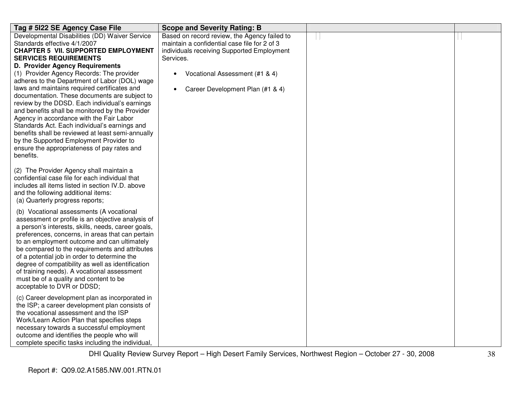| Tag # 5122 SE Agency Case File                                                                                                                                                                                                                                                                                                                                                                                                                                                                                                       | <b>Scope and Severity Rating: B</b>                                                                                                                                                       |  |
|--------------------------------------------------------------------------------------------------------------------------------------------------------------------------------------------------------------------------------------------------------------------------------------------------------------------------------------------------------------------------------------------------------------------------------------------------------------------------------------------------------------------------------------|-------------------------------------------------------------------------------------------------------------------------------------------------------------------------------------------|--|
| Developmental Disabilities (DD) Waiver Service<br>Standards effective 4/1/2007<br><b>CHAPTER 5 VII. SUPPORTED EMPLOYMENT</b><br><b>SERVICES REQUIREMENTS</b><br><b>D. Provider Agency Requirements</b><br>(1) Provider Agency Records: The provider<br>adheres to the Department of Labor (DOL) wage                                                                                                                                                                                                                                 | Based on record review, the Agency failed to<br>maintain a confidential case file for 2 of 3<br>individuals receiving Supported Employment<br>Services.<br>Vocational Assessment (#1 & 4) |  |
| laws and maintains required certificates and<br>documentation. These documents are subject to<br>review by the DDSD. Each individual's earnings<br>and benefits shall be monitored by the Provider<br>Agency in accordance with the Fair Labor<br>Standards Act. Each individual's earnings and<br>benefits shall be reviewed at least semi-annually<br>by the Supported Employment Provider to<br>ensure the appropriateness of pay rates and<br>benefits.                                                                          | Career Development Plan (#1 & 4)<br>$\bullet$                                                                                                                                             |  |
| (2) The Provider Agency shall maintain a<br>confidential case file for each individual that<br>includes all items listed in section IV.D. above<br>and the following additional items:<br>(a) Quarterly progress reports;                                                                                                                                                                                                                                                                                                            |                                                                                                                                                                                           |  |
| (b) Vocational assessments (A vocational<br>assessment or profile is an objective analysis of<br>a person's interests, skills, needs, career goals,<br>preferences, concerns, in areas that can pertain<br>to an employment outcome and can ultimately<br>be compared to the requirements and attributes<br>of a potential job in order to determine the<br>degree of compatibility as well as identification<br>of training needs). A vocational assessment<br>must be of a quality and content to be<br>acceptable to DVR or DDSD; |                                                                                                                                                                                           |  |
| (c) Career development plan as incorporated in<br>the ISP; a career development plan consists of<br>the vocational assessment and the ISP<br>Work/Learn Action Plan that specifies steps<br>necessary towards a successful employment<br>outcome and identifies the people who will<br>complete specific tasks including the individual,                                                                                                                                                                                             |                                                                                                                                                                                           |  |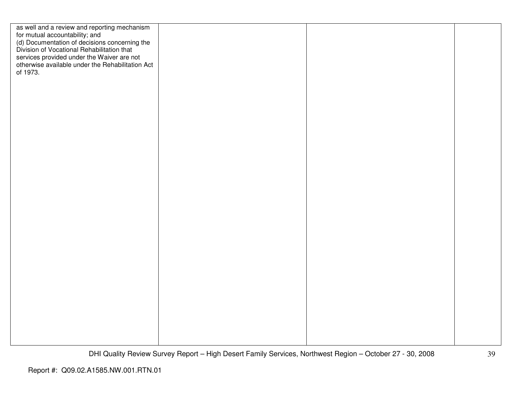| as well and a review and reporting mechanism<br>for mutual accountability; and<br>(d) Documentation of decisions concerning the<br>Division of Vocational Rehabilitation that<br>services provided under the Waiver are not<br>otherwise available under the Rehabilitation Act<br>of 1973. |  |  |
|---------------------------------------------------------------------------------------------------------------------------------------------------------------------------------------------------------------------------------------------------------------------------------------------|--|--|
|                                                                                                                                                                                                                                                                                             |  |  |
|                                                                                                                                                                                                                                                                                             |  |  |
|                                                                                                                                                                                                                                                                                             |  |  |
|                                                                                                                                                                                                                                                                                             |  |  |
|                                                                                                                                                                                                                                                                                             |  |  |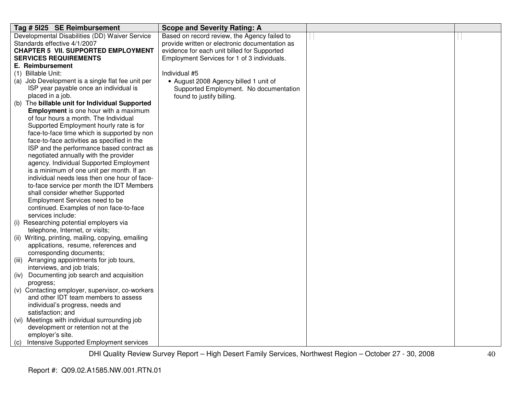| Tag # 5125 SE Reimbursement                                                      | <b>Scope and Severity Rating: A</b>            |  |
|----------------------------------------------------------------------------------|------------------------------------------------|--|
| Developmental Disabilities (DD) Waiver Service                                   | Based on record review, the Agency failed to   |  |
| Standards effective 4/1/2007                                                     | provide written or electronic documentation as |  |
| <b>CHAPTER 5 VII. SUPPORTED EMPLOYMENT</b>                                       | evidence for each unit billed for Supported    |  |
| <b>SERVICES REQUIREMENTS</b>                                                     | Employment Services for 1 of 3 individuals.    |  |
| E. Reimbursement                                                                 |                                                |  |
| (1) Billable Unit:                                                               | Individual #5                                  |  |
| (a) Job Development is a single flat fee unit per                                | • August 2008 Agency billed 1 unit of          |  |
| ISP year payable once an individual is                                           | Supported Employment. No documentation         |  |
| placed in a job.                                                                 | found to justify billing.                      |  |
| (b) The billable unit for Individual Supported                                   |                                                |  |
| <b>Employment</b> is one hour with a maximum                                     |                                                |  |
| of four hours a month. The Individual                                            |                                                |  |
| Supported Employment hourly rate is for                                          |                                                |  |
| face-to-face time which is supported by non                                      |                                                |  |
| face-to-face activities as specified in the                                      |                                                |  |
| ISP and the performance based contract as                                        |                                                |  |
| negotiated annually with the provider                                            |                                                |  |
| agency. Individual Supported Employment                                          |                                                |  |
| is a minimum of one unit per month. If an                                        |                                                |  |
| individual needs less then one hour of face-                                     |                                                |  |
| to-face service per month the IDT Members                                        |                                                |  |
| shall consider whether Supported                                                 |                                                |  |
| <b>Employment Services need to be</b><br>continued. Examples of non face-to-face |                                                |  |
| services include:                                                                |                                                |  |
| (i) Researching potential employers via                                          |                                                |  |
| telephone, Internet, or visits;                                                  |                                                |  |
| (ii) Writing, printing, mailing, copying, emailing                               |                                                |  |
| applications, resume, references and                                             |                                                |  |
| corresponding documents;                                                         |                                                |  |
| (iii) Arranging appointments for job tours,                                      |                                                |  |
| interviews, and job trials;                                                      |                                                |  |
| (iv) Documenting job search and acquisition                                      |                                                |  |
| progress;                                                                        |                                                |  |
| (v) Contacting employer, supervisor, co-workers                                  |                                                |  |
| and other IDT team members to assess                                             |                                                |  |
| individual's progress, needs and                                                 |                                                |  |
| satisfaction; and                                                                |                                                |  |
| (vi) Meetings with individual surrounding job                                    |                                                |  |
| development or retention not at the                                              |                                                |  |
| employer's site.                                                                 |                                                |  |
| (c) Intensive Supported Employment services                                      |                                                |  |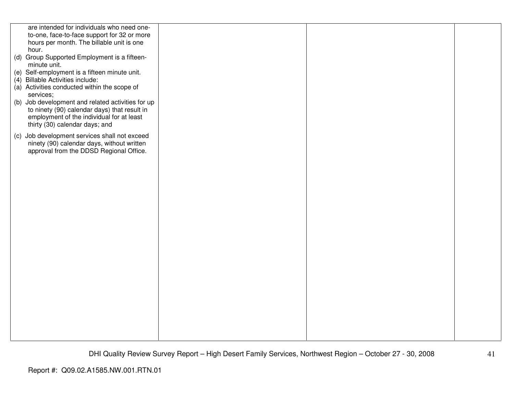| are intended for individuals who need one-                |  |  |
|-----------------------------------------------------------|--|--|
| to-one, face-to-face support for 32 or more               |  |  |
| hours per month. The billable unit is one                 |  |  |
| hour.                                                     |  |  |
| (d) Group Supported Employment is a fifteen-              |  |  |
| minute unit.                                              |  |  |
| (e) Self-employment is a fifteen minute unit.             |  |  |
| (4) Billable Activities include:                          |  |  |
|                                                           |  |  |
| (a) Activities conducted within the scope of<br>services; |  |  |
|                                                           |  |  |
| (b) Job development and related activities for up         |  |  |
| to ninety (90) calendar days) that result in              |  |  |
| employment of the individual for at least                 |  |  |
| thirty (30) calendar days; and                            |  |  |
| (c) Job development services shall not exceed             |  |  |
| ninety (90) calendar days, without written                |  |  |
| approval from the DDSD Regional Office.                   |  |  |
|                                                           |  |  |
|                                                           |  |  |
|                                                           |  |  |
|                                                           |  |  |
|                                                           |  |  |
|                                                           |  |  |
|                                                           |  |  |
|                                                           |  |  |
|                                                           |  |  |
|                                                           |  |  |
|                                                           |  |  |
|                                                           |  |  |
|                                                           |  |  |
|                                                           |  |  |
|                                                           |  |  |
|                                                           |  |  |
|                                                           |  |  |
|                                                           |  |  |
|                                                           |  |  |
|                                                           |  |  |
|                                                           |  |  |
|                                                           |  |  |
|                                                           |  |  |
|                                                           |  |  |
|                                                           |  |  |
|                                                           |  |  |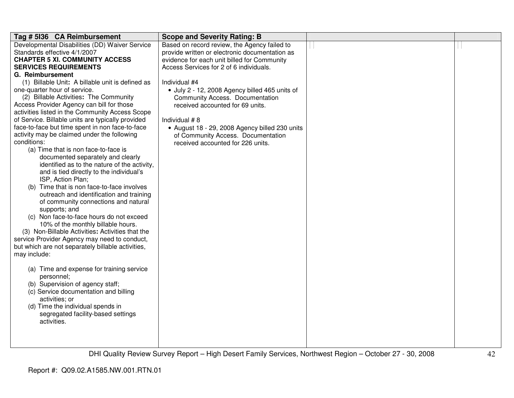| Tag # 5136 CA Reimbursement                                                            | <b>Scope and Severity Rating: B</b>            |  |
|----------------------------------------------------------------------------------------|------------------------------------------------|--|
| Developmental Disabilities (DD) Waiver Service                                         | Based on record review, the Agency failed to   |  |
| Standards effective 4/1/2007                                                           | provide written or electronic documentation as |  |
| <b>CHAPTER 5 XI. COMMUNITY ACCESS</b>                                                  | evidence for each unit billed for Community    |  |
| <b>SERVICES REQUIREMENTS</b>                                                           | Access Services for 2 of 6 individuals.        |  |
| G. Reimbursement                                                                       |                                                |  |
| (1) Billable Unit: A billable unit is defined as                                       | Individual #4                                  |  |
| one-quarter hour of service.                                                           | · July 2 - 12, 2008 Agency billed 465 units of |  |
| (2) Billable Activities: The Community                                                 | <b>Community Access. Documentation</b>         |  |
| Access Provider Agency can bill for those                                              | received accounted for 69 units.               |  |
| activities listed in the Community Access Scope                                        |                                                |  |
| of Service. Billable units are typically provided                                      | Individual #8                                  |  |
| face-to-face but time spent in non face-to-face                                        | • August 18 - 29, 2008 Agency billed 230 units |  |
| activity may be claimed under the following                                            | of Community Access. Documentation             |  |
| conditions:                                                                            | received accounted for 226 units.              |  |
| (a) Time that is non face-to-face is                                                   |                                                |  |
| documented separately and clearly                                                      |                                                |  |
| identified as to the nature of the activity,                                           |                                                |  |
| and is tied directly to the individual's                                               |                                                |  |
| ISP, Action Plan;                                                                      |                                                |  |
| (b) Time that is non face-to-face involves                                             |                                                |  |
| outreach and identification and training                                               |                                                |  |
| of community connections and natural                                                   |                                                |  |
| supports; and                                                                          |                                                |  |
| (c) Non face-to-face hours do not exceed                                               |                                                |  |
| 10% of the monthly billable hours.<br>(3) Non-Billable Activities: Activities that the |                                                |  |
| service Provider Agency may need to conduct,                                           |                                                |  |
|                                                                                        |                                                |  |
| but which are not separately billable activities,<br>may include:                      |                                                |  |
|                                                                                        |                                                |  |
| (a) Time and expense for training service                                              |                                                |  |
| personnel;                                                                             |                                                |  |
| (b) Supervision of agency staff;                                                       |                                                |  |
| (c) Service documentation and billing                                                  |                                                |  |
| activities; or                                                                         |                                                |  |
| (d) Time the individual spends in                                                      |                                                |  |
| segregated facility-based settings                                                     |                                                |  |
| activities.                                                                            |                                                |  |
|                                                                                        |                                                |  |
|                                                                                        |                                                |  |
|                                                                                        |                                                |  |
|                                                                                        |                                                |  |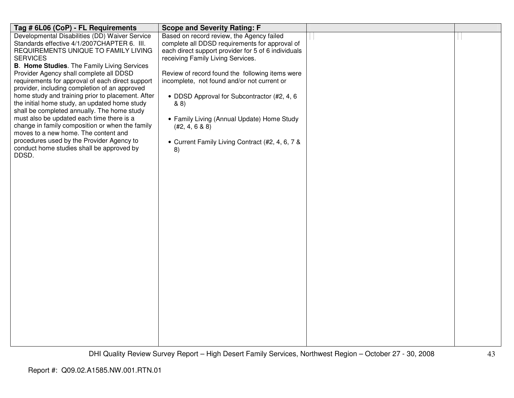| Tag # 6L06 (CoP) - FL Requirements                                                       | <b>Scope and Severity Rating: F</b>                 |  |
|------------------------------------------------------------------------------------------|-----------------------------------------------------|--|
| Developmental Disabilities (DD) Waiver Service                                           | Based on record review, the Agency failed           |  |
| Standards effective 4/1/2007CHAPTER 6. III.                                              | complete all DDSD requirements for approval of      |  |
| REQUIREMENTS UNIQUE TO FAMILY LIVING                                                     | each direct support provider for 5 of 6 individuals |  |
| <b>SERVICES</b>                                                                          | receiving Family Living Services.                   |  |
| <b>B. Home Studies.</b> The Family Living Services                                       |                                                     |  |
| Provider Agency shall complete all DDSD                                                  | Review of record found the following items were     |  |
| requirements for approval of each direct support                                         | incomplete, not found and/or not current or         |  |
| provider, including completion of an approved                                            |                                                     |  |
| home study and training prior to placement. After                                        | • DDSD Approval for Subcontractor (#2, 4, 6         |  |
| the initial home study, an updated home study                                            | & 8)                                                |  |
| shall be completed annually. The home study<br>must also be updated each time there is a |                                                     |  |
| change in family composition or when the family                                          | • Family Living (Annual Update) Home Study          |  |
| moves to a new home. The content and                                                     | (#2, 4, 6 & 8)                                      |  |
| procedures used by the Provider Agency to                                                |                                                     |  |
| conduct home studies shall be approved by                                                | • Current Family Living Contract (#2, 4, 6, 7 &     |  |
| DDSD.                                                                                    | 8)                                                  |  |
|                                                                                          |                                                     |  |
|                                                                                          |                                                     |  |
|                                                                                          |                                                     |  |
|                                                                                          |                                                     |  |
|                                                                                          |                                                     |  |
|                                                                                          |                                                     |  |
|                                                                                          |                                                     |  |
|                                                                                          |                                                     |  |
|                                                                                          |                                                     |  |
|                                                                                          |                                                     |  |
|                                                                                          |                                                     |  |
|                                                                                          |                                                     |  |
|                                                                                          |                                                     |  |
|                                                                                          |                                                     |  |
|                                                                                          |                                                     |  |
|                                                                                          |                                                     |  |
|                                                                                          |                                                     |  |
|                                                                                          |                                                     |  |
|                                                                                          |                                                     |  |
|                                                                                          |                                                     |  |
|                                                                                          |                                                     |  |
|                                                                                          |                                                     |  |
|                                                                                          |                                                     |  |
|                                                                                          |                                                     |  |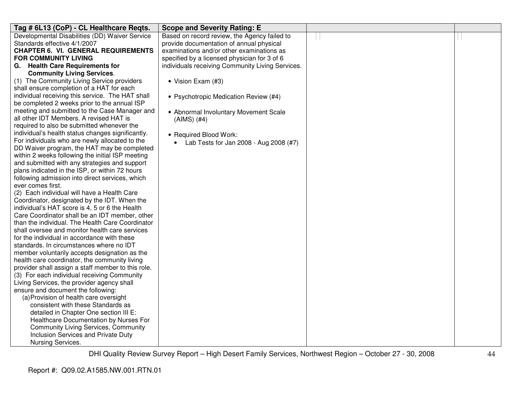| Tag # 6L13 (CoP) - CL Healthcare Reqts.                                                             | <b>Scope and Severity Rating: E</b>              |  |
|-----------------------------------------------------------------------------------------------------|--------------------------------------------------|--|
| Developmental Disabilities (DD) Waiver Service                                                      | Based on record review, the Agency failed to     |  |
| Standards effective 4/1/2007                                                                        | provide documentation of annual physical         |  |
| <b>CHAPTER 6. VI. GENERAL REQUIREMENTS</b>                                                          | examinations and/or other examinations as        |  |
| <b>FOR COMMUNITY LIVING</b>                                                                         | specified by a licensed physician for 3 of 6     |  |
| G. Health Care Requirements for                                                                     | individuals receiving Community Living Services. |  |
| <b>Community Living Services.</b>                                                                   |                                                  |  |
| (1) The Community Living Service providers                                                          | • Vision Exam (#3)                               |  |
| shall ensure completion of a HAT for each                                                           |                                                  |  |
| individual receiving this service. The HAT shall                                                    | • Psychotropic Medication Review (#4)            |  |
| be completed 2 weeks prior to the annual ISP                                                        |                                                  |  |
| meeting and submitted to the Case Manager and                                                       | • Abnormal Involuntary Movement Scale            |  |
| all other IDT Members. A revised HAT is                                                             | (AIMS) (#4)                                      |  |
| required to also be submitted whenever the                                                          |                                                  |  |
| individual's health status changes significantly.                                                   | • Required Blood Work:                           |  |
| For individuals who are newly allocated to the                                                      | • Lab Tests for Jan 2008 - Aug 2008 $(#7)$       |  |
| DD Waiver program, the HAT may be completed                                                         |                                                  |  |
| within 2 weeks following the initial ISP meeting                                                    |                                                  |  |
| and submitted with any strategies and support                                                       |                                                  |  |
| plans indicated in the ISP, or within 72 hours                                                      |                                                  |  |
| following admission into direct services, which                                                     |                                                  |  |
| ever comes first.                                                                                   |                                                  |  |
| (2) Each individual will have a Health Care                                                         |                                                  |  |
| Coordinator, designated by the IDT. When the                                                        |                                                  |  |
| individual's HAT score is 4, 5 or 6 the Health                                                      |                                                  |  |
| Care Coordinator shall be an IDT member, other                                                      |                                                  |  |
| than the individual. The Health Care Coordinator                                                    |                                                  |  |
| shall oversee and monitor health care services                                                      |                                                  |  |
| for the individual in accordance with these                                                         |                                                  |  |
| standards. In circumstances where no IDT                                                            |                                                  |  |
| member voluntarily accepts designation as the                                                       |                                                  |  |
| health care coordinator, the community living<br>provider shall assign a staff member to this role. |                                                  |  |
| (3) For each individual receiving Community                                                         |                                                  |  |
| Living Services, the provider agency shall                                                          |                                                  |  |
| ensure and document the following:                                                                  |                                                  |  |
| (a) Provision of health care oversight                                                              |                                                  |  |
| consistent with these Standards as                                                                  |                                                  |  |
| detailed in Chapter One section III E:                                                              |                                                  |  |
| Healthcare Documentation by Nurses For                                                              |                                                  |  |
| <b>Community Living Services, Community</b>                                                         |                                                  |  |
| Inclusion Services and Private Duty                                                                 |                                                  |  |
| Nursing Services.                                                                                   |                                                  |  |
|                                                                                                     |                                                  |  |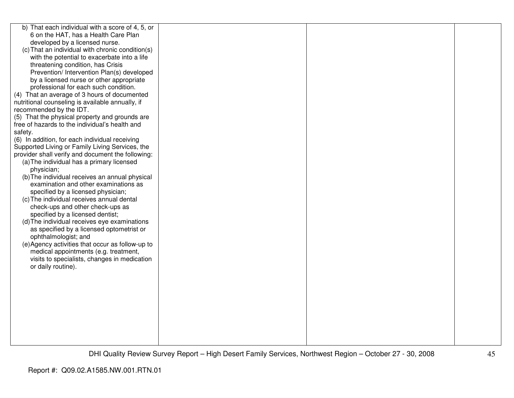| b) That each individual with a score of 4, 5, or  |  |  |
|---------------------------------------------------|--|--|
| 6 on the HAT, has a Health Care Plan              |  |  |
| developed by a licensed nurse.                    |  |  |
| (c) That an individual with chronic condition(s)  |  |  |
| with the potential to exacerbate into a life      |  |  |
| threatening condition, has Crisis                 |  |  |
| Prevention/ Intervention Plan(s) developed        |  |  |
| by a licensed nurse or other appropriate          |  |  |
| professional for each such condition.             |  |  |
| (4) That an average of 3 hours of documented      |  |  |
| nutritional counseling is available annually, if  |  |  |
| recommended by the IDT.                           |  |  |
| (5) That the physical property and grounds are    |  |  |
| free of hazards to the individual's health and    |  |  |
| safety.                                           |  |  |
| (6) In addition, for each individual receiving    |  |  |
| Supported Living or Family Living Services, the   |  |  |
| provider shall verify and document the following: |  |  |
| (a) The individual has a primary licensed         |  |  |
| physician;                                        |  |  |
| (b) The individual receives an annual physical    |  |  |
| examination and other examinations as             |  |  |
| specified by a licensed physician;                |  |  |
| (c) The individual receives annual dental         |  |  |
| check-ups and other check-ups as                  |  |  |
| specified by a licensed dentist;                  |  |  |
| (d) The individual receives eye examinations      |  |  |
| as specified by a licensed optometrist or         |  |  |
| ophthalmologist; and                              |  |  |
| (e) Agency activities that occur as follow-up to  |  |  |
| medical appointments (e.g. treatment,             |  |  |
| visits to specialists, changes in medication      |  |  |
| or daily routine).                                |  |  |
|                                                   |  |  |
|                                                   |  |  |
|                                                   |  |  |
|                                                   |  |  |
|                                                   |  |  |
|                                                   |  |  |
|                                                   |  |  |
|                                                   |  |  |
|                                                   |  |  |
|                                                   |  |  |
|                                                   |  |  |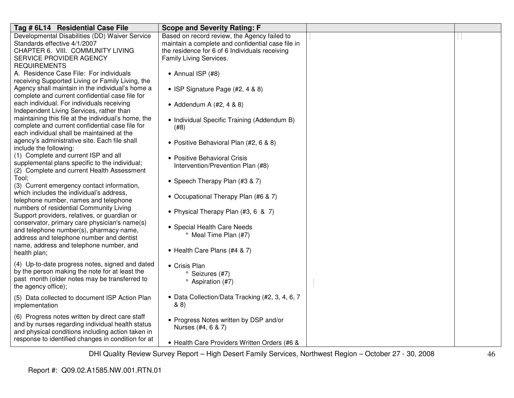| Tag # 6L14 Residential Case File                                                              | <b>Scope and Severity Rating: F</b>               |  |
|-----------------------------------------------------------------------------------------------|---------------------------------------------------|--|
| Developmental Disabilities (DD) Waiver Service                                                | Based on record review, the Agency failed to      |  |
| Standards effective 4/1/2007                                                                  | maintain a complete and confidential case file in |  |
| CHAPTER 6. VIII. COMMUNITY LIVING                                                             | the residence for 6 of 6 Individuals receiving    |  |
| SERVICE PROVIDER AGENCY                                                                       | Family Living Services.                           |  |
| <b>REQUIREMENTS</b>                                                                           |                                                   |  |
| A. Residence Case File: For individuals                                                       | • Annual ISP (#8)                                 |  |
| receiving Supported Living or Family Living, the                                              |                                                   |  |
| Agency shall maintain in the individual's home a                                              | • ISP Signature Page $(#2, 4 \& 8)$               |  |
| complete and current confidential case file for                                               |                                                   |  |
| each individual. For individuals receiving                                                    | • Addendum A $(\#2, 4 \& 8)$                      |  |
| Independent Living Services, rather than                                                      |                                                   |  |
| maintaining this file at the individual's home, the                                           | • Individual Specific Training (Addendum B)       |  |
| complete and current confidential case file for                                               | (#8)                                              |  |
| each individual shall be maintained at the                                                    |                                                   |  |
| agency's administrative site. Each file shall                                                 | • Positive Behavioral Plan (#2, 6 & 8)            |  |
| include the following:                                                                        |                                                   |  |
| (1) Complete and current ISP and all                                                          | • Positive Behavioral Crisis                      |  |
| supplemental plans specific to the individual;                                                | Intervention/Prevention Plan (#8)                 |  |
| (2) Complete and current Health Assessment                                                    |                                                   |  |
| Tool:                                                                                         | • Speech Therapy Plan (#3 & 7)                    |  |
| (3) Current emergency contact information,                                                    |                                                   |  |
| which includes the individual's address,                                                      | • Occupational Therapy Plan (#6 & 7)              |  |
| telephone number, names and telephone                                                         |                                                   |  |
| numbers of residential Community Living                                                       | • Physical Therapy Plan (#3, 6 & 7)               |  |
| Support providers, relatives, or guardian or<br>conservator, primary care physician's name(s) |                                                   |  |
| and telephone number(s), pharmacy name,                                                       | • Special Health Care Needs                       |  |
| address and telephone number and dentist                                                      | <sup>o</sup> Meal Time Plan (#7)                  |  |
| name, address and telephone number, and                                                       |                                                   |  |
| health plan;                                                                                  | • Health Care Plans (#4 & 7)                      |  |
|                                                                                               |                                                   |  |
| (4) Up-to-date progress notes, signed and dated                                               | • Crisis Plan                                     |  |
| by the person making the note for at least the                                                | ° Seizures (#7)                                   |  |
| past month (older notes may be transferred to                                                 | <sup>o</sup> Aspiration (#7)                      |  |
| the agency office);                                                                           |                                                   |  |
| (5) Data collected to document ISP Action Plan                                                | • Data Collection/Data Tracking (#2, 3, 4, 6, 7   |  |
| implementation                                                                                | 88)                                               |  |
| (6) Progress notes written by direct care staff                                               |                                                   |  |
| and by nurses regarding individual health status                                              | • Progress Notes written by DSP and/or            |  |
| and physical conditions including action taken in                                             | Nurses (#4, 6 & 7)                                |  |
| response to identified changes in condition for at                                            |                                                   |  |
|                                                                                               | • Health Care Providers Written Orders (#6 &      |  |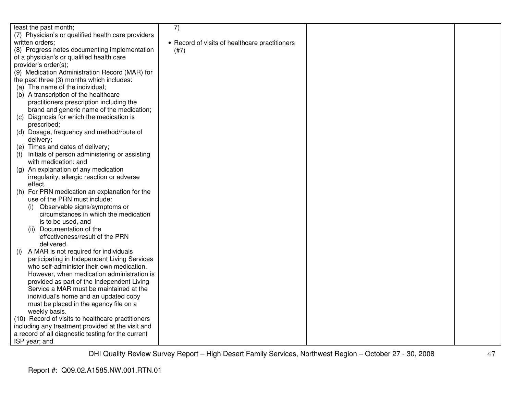| least the past month;                              | 7)                                             |  |
|----------------------------------------------------|------------------------------------------------|--|
| (7) Physician's or qualified health care providers |                                                |  |
| written orders;                                    | • Record of visits of healthcare practitioners |  |
| (8) Progress notes documenting implementation      | (#7)                                           |  |
| of a physician's or qualified health care          |                                                |  |
| provider's order(s);                               |                                                |  |
| (9) Medication Administration Record (MAR) for     |                                                |  |
| the past three (3) months which includes:          |                                                |  |
| (a) The name of the individual;                    |                                                |  |
| (b) A transcription of the healthcare              |                                                |  |
| practitioners prescription including the           |                                                |  |
| brand and generic name of the medication;          |                                                |  |
| Diagnosis for which the medication is<br>(C)       |                                                |  |
| prescribed;                                        |                                                |  |
| Dosage, frequency and method/route of<br>(d)       |                                                |  |
| delivery;                                          |                                                |  |
| (e) Times and dates of delivery;                   |                                                |  |
| Initials of person administering or assisting      |                                                |  |
| with medication; and                               |                                                |  |
| (g) An explanation of any medication               |                                                |  |
| irregularity, allergic reaction or adverse         |                                                |  |
| effect.                                            |                                                |  |
| (h) For PRN medication an explanation for the      |                                                |  |
| use of the PRN must include:                       |                                                |  |
| Observable signs/symptoms or<br>(1)                |                                                |  |
| circumstances in which the medication              |                                                |  |
| is to be used, and                                 |                                                |  |
| Documentation of the<br>(11)                       |                                                |  |
| effectiveness/result of the PRN                    |                                                |  |
| delivered.                                         |                                                |  |
| A MAR is not required for individuals<br>(i)       |                                                |  |
| participating in Independent Living Services       |                                                |  |
| who self-administer their own medication.          |                                                |  |
| However, when medication administration is         |                                                |  |
| provided as part of the Independent Living         |                                                |  |
| Service a MAR must be maintained at the            |                                                |  |
| individual's home and an updated copy              |                                                |  |
| must be placed in the agency file on a             |                                                |  |
| weekly basis.                                      |                                                |  |
| (10) Record of visits to healthcare practitioners  |                                                |  |
| including any treatment provided at the visit and  |                                                |  |
| a record of all diagnostic testing for the current |                                                |  |
| ISP year; and                                      |                                                |  |
|                                                    |                                                |  |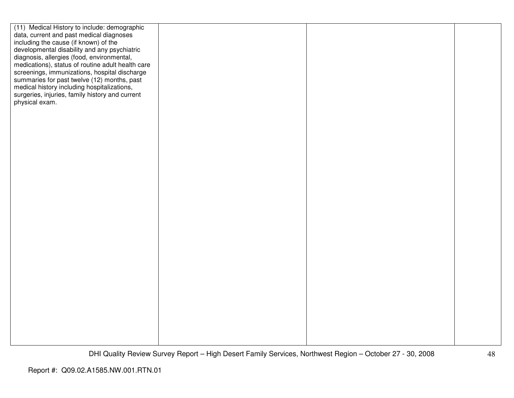| data, current and past medical diagnoses<br>including the cause (if known) of the<br>developmental disability and any psychiatric<br>diagnosis, allergies (food, environmental,<br>medications), status of routine adult health care<br>screenings, immunizations, hospital discharge<br>summaries for past twelve (12) months, past<br>medical history including hospitalizations,<br>surgeries, injuries, family history and current<br>physical exam. |
|----------------------------------------------------------------------------------------------------------------------------------------------------------------------------------------------------------------------------------------------------------------------------------------------------------------------------------------------------------------------------------------------------------------------------------------------------------|
|                                                                                                                                                                                                                                                                                                                                                                                                                                                          |
|                                                                                                                                                                                                                                                                                                                                                                                                                                                          |
|                                                                                                                                                                                                                                                                                                                                                                                                                                                          |
|                                                                                                                                                                                                                                                                                                                                                                                                                                                          |
|                                                                                                                                                                                                                                                                                                                                                                                                                                                          |
|                                                                                                                                                                                                                                                                                                                                                                                                                                                          |
|                                                                                                                                                                                                                                                                                                                                                                                                                                                          |
|                                                                                                                                                                                                                                                                                                                                                                                                                                                          |
|                                                                                                                                                                                                                                                                                                                                                                                                                                                          |
|                                                                                                                                                                                                                                                                                                                                                                                                                                                          |
|                                                                                                                                                                                                                                                                                                                                                                                                                                                          |
|                                                                                                                                                                                                                                                                                                                                                                                                                                                          |
|                                                                                                                                                                                                                                                                                                                                                                                                                                                          |
|                                                                                                                                                                                                                                                                                                                                                                                                                                                          |
|                                                                                                                                                                                                                                                                                                                                                                                                                                                          |
|                                                                                                                                                                                                                                                                                                                                                                                                                                                          |
|                                                                                                                                                                                                                                                                                                                                                                                                                                                          |
|                                                                                                                                                                                                                                                                                                                                                                                                                                                          |
|                                                                                                                                                                                                                                                                                                                                                                                                                                                          |
|                                                                                                                                                                                                                                                                                                                                                                                                                                                          |
|                                                                                                                                                                                                                                                                                                                                                                                                                                                          |
|                                                                                                                                                                                                                                                                                                                                                                                                                                                          |
|                                                                                                                                                                                                                                                                                                                                                                                                                                                          |
|                                                                                                                                                                                                                                                                                                                                                                                                                                                          |
|                                                                                                                                                                                                                                                                                                                                                                                                                                                          |
|                                                                                                                                                                                                                                                                                                                                                                                                                                                          |
|                                                                                                                                                                                                                                                                                                                                                                                                                                                          |
|                                                                                                                                                                                                                                                                                                                                                                                                                                                          |
|                                                                                                                                                                                                                                                                                                                                                                                                                                                          |
|                                                                                                                                                                                                                                                                                                                                                                                                                                                          |
|                                                                                                                                                                                                                                                                                                                                                                                                                                                          |
|                                                                                                                                                                                                                                                                                                                                                                                                                                                          |
|                                                                                                                                                                                                                                                                                                                                                                                                                                                          |
|                                                                                                                                                                                                                                                                                                                                                                                                                                                          |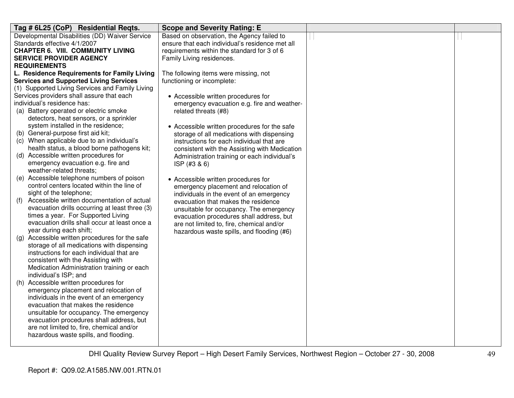| Tag # 6L25 (CoP) Residential Reqts.                                                       | <b>Scope and Severity Rating: E</b>                                          |  |
|-------------------------------------------------------------------------------------------|------------------------------------------------------------------------------|--|
| Developmental Disabilities (DD) Waiver Service                                            | Based on observation, the Agency failed to                                   |  |
| Standards effective 4/1/2007                                                              | ensure that each individual's residence met all                              |  |
| <b>CHAPTER 6. VIII. COMMUNITY LIVING</b>                                                  | requirements within the standard for 3 of 6                                  |  |
| <b>SERVICE PROVIDER AGENCY</b>                                                            | Family Living residences.                                                    |  |
| <b>REQUIREMENTS</b>                                                                       |                                                                              |  |
| L. Residence Requirements for Family Living                                               | The following items were missing, not                                        |  |
| <b>Services and Supported Living Services</b>                                             | functioning or incomplete:                                                   |  |
| (1) Supported Living Services and Family Living                                           |                                                                              |  |
| Services providers shall assure that each                                                 | • Accessible written procedures for                                          |  |
| individual's residence has:                                                               | emergency evacuation e.g. fire and weather-                                  |  |
| (a) Battery operated or electric smoke                                                    | related threats (#8)                                                         |  |
| detectors, heat sensors, or a sprinkler                                                   |                                                                              |  |
| system installed in the residence;                                                        | • Accessible written procedures for the safe                                 |  |
| (b) General-purpose first aid kit;                                                        | storage of all medications with dispensing                                   |  |
| (c) When applicable due to an individual's<br>health status, a blood borne pathogens kit; | instructions for each individual that are                                    |  |
| (d) Accessible written procedures for                                                     | consistent with the Assisting with Medication                                |  |
| emergency evacuation e.g. fire and                                                        | Administration training or each individual's                                 |  |
| weather-related threats;                                                                  | ISP (#3 & 6)                                                                 |  |
| (e) Accessible telephone numbers of poison                                                |                                                                              |  |
| control centers located within the line of                                                | • Accessible written procedures for<br>emergency placement and relocation of |  |
| sight of the telephone;                                                                   | individuals in the event of an emergency                                     |  |
| Accessible written documentation of actual<br>(f)                                         | evacuation that makes the residence                                          |  |
| evacuation drills occurring at least three (3)                                            | unsuitable for occupancy. The emergency                                      |  |
| times a year. For Supported Living                                                        | evacuation procedures shall address, but                                     |  |
| evacuation drills shall occur at least once a                                             | are not limited to, fire, chemical and/or                                    |  |
| year during each shift;                                                                   | hazardous waste spills, and flooding (#6)                                    |  |
| (g) Accessible written procedures for the safe                                            |                                                                              |  |
| storage of all medications with dispensing                                                |                                                                              |  |
| instructions for each individual that are                                                 |                                                                              |  |
| consistent with the Assisting with                                                        |                                                                              |  |
| Medication Administration training or each                                                |                                                                              |  |
| individual's ISP; and                                                                     |                                                                              |  |
| (h) Accessible written procedures for                                                     |                                                                              |  |
| emergency placement and relocation of                                                     |                                                                              |  |
| individuals in the event of an emergency                                                  |                                                                              |  |
| evacuation that makes the residence                                                       |                                                                              |  |
| unsuitable for occupancy. The emergency                                                   |                                                                              |  |
| evacuation procedures shall address, but                                                  |                                                                              |  |
| are not limited to, fire, chemical and/or                                                 |                                                                              |  |
| hazardous waste spills, and flooding.                                                     |                                                                              |  |
|                                                                                           |                                                                              |  |